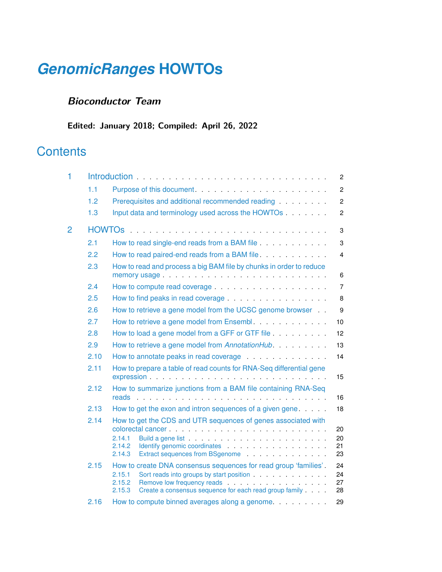# *[GenomicRanges](http://bioconductor.org/packages/GenomicRanges)* **HOWTOs**

#### **Bioconductor Team**

**Edited: January 2018; Compiled: April 26, 2022**

## **Contents**

| 1 |      |                                                                                                                                                                                                                                                                                                                                                                                                                                                                                                                                     | $\mathbf{2}^{\circ}$ |
|---|------|-------------------------------------------------------------------------------------------------------------------------------------------------------------------------------------------------------------------------------------------------------------------------------------------------------------------------------------------------------------------------------------------------------------------------------------------------------------------------------------------------------------------------------------|----------------------|
|   | 1.1  |                                                                                                                                                                                                                                                                                                                                                                                                                                                                                                                                     | $\overline{2}$       |
|   | 1.2  | Prerequisites and additional recommended reading <b>Constanting</b>                                                                                                                                                                                                                                                                                                                                                                                                                                                                 | $\overline{2}$       |
|   | 1.3  | Input data and terminology used across the HOWTOs                                                                                                                                                                                                                                                                                                                                                                                                                                                                                   | $\mathbf{2}$         |
| 2 |      |                                                                                                                                                                                                                                                                                                                                                                                                                                                                                                                                     | 3                    |
|   | 2.1  | How to read single-end reads from a BAM file <b>Sand Contains an alleger</b> How to read single-                                                                                                                                                                                                                                                                                                                                                                                                                                    | 3                    |
|   | 2.2  | How to read paired-end reads from a BAM file.                                                                                                                                                                                                                                                                                                                                                                                                                                                                                       | $\overline{4}$       |
|   | 2.3  | How to read and process a big BAM file by chunks in order to reduce                                                                                                                                                                                                                                                                                                                                                                                                                                                                 | 6                    |
|   | 2.4  |                                                                                                                                                                                                                                                                                                                                                                                                                                                                                                                                     | $\overline{7}$       |
|   | 2.5  |                                                                                                                                                                                                                                                                                                                                                                                                                                                                                                                                     | 8                    |
|   | 2.6  | How to retrieve a gene model from the UCSC genome browser                                                                                                                                                                                                                                                                                                                                                                                                                                                                           | 9                    |
|   | 2.7  | How to retrieve a gene model from Ensembl.                                                                                                                                                                                                                                                                                                                                                                                                                                                                                          | 10                   |
|   | 2.8  | How to load a gene model from a GFF or GTF file                                                                                                                                                                                                                                                                                                                                                                                                                                                                                     | 12                   |
|   | 2.9  | How to retrieve a gene model from AnnotationHub.                                                                                                                                                                                                                                                                                                                                                                                                                                                                                    | 13                   |
|   | 2.10 | How to annotate peaks in read coverage                                                                                                                                                                                                                                                                                                                                                                                                                                                                                              | 14                   |
|   | 2.11 | How to prepare a table of read counts for RNA-Seq differential gene<br>expression expression and the contract of the contract of the contract of the contract of the contract of the contract of the contract of the contract of the contract of the contract of the contract of the contract of the                                                                                                                                                                                                                                | 15                   |
|   | 2.12 | How to summarize junctions from a BAM file containing RNA-Seq                                                                                                                                                                                                                                                                                                                                                                                                                                                                       | 16                   |
|   | 2.13 | How to get the exon and intron sequences of a given gene.                                                                                                                                                                                                                                                                                                                                                                                                                                                                           | 18                   |
|   | 2.14 | How to get the CDS and UTR sequences of genes associated with<br>colorectal cancer entertainment and the colorectal cancer and the colorectal cancer and the colorection of the<br>2.14.1<br>2.14.2<br>Identify genomic coordinates expansion of the state of the state of the state of the state of the state of the state of the state of the state of the state of the state of the state of the state of the state of the state o<br>2.14.3<br>Extract sequences from BSgenome entitled and service and sequences from BSgenome | 20<br>20<br>21<br>23 |
|   | 2.15 | How to create DNA consensus sequences for read group 'families'.<br>2.15.1<br>2.15.2<br>Remove low frequency reads entering the state of the state of the state of the state of the state of the state of the state of the state of the state of the state of the state of the state of the state of the state of the<br>Create a consensus sequence for each read group family<br>2.15.3                                                                                                                                           | 24<br>24<br>27<br>28 |
|   | 2.16 | How to compute binned averages along a genome.                                                                                                                                                                                                                                                                                                                                                                                                                                                                                      | 29                   |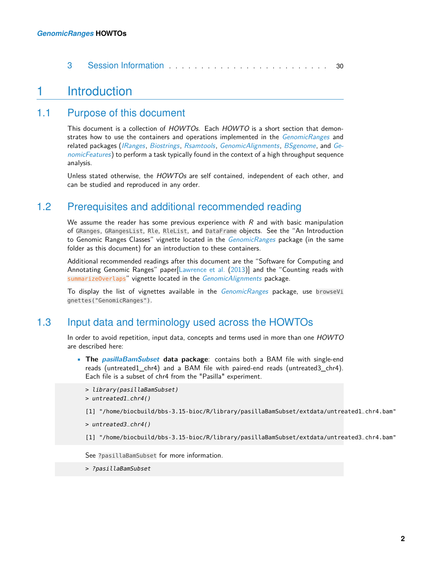<span id="page-1-0"></span>

### 1 Introduction

#### 1.1 Purpose of this document

<span id="page-1-1"></span>This document is a collection of HOWTOs. Each HOWTO is a short section that demonstrates how to use the containers and operations implemented in the *[GenomicRanges](http://bioconductor.org/packages/GenomicRanges)* and related packages ([IRanges](http://bioconductor.org/packages/IRanges), [Biostrings](http://bioconductor.org/packages/Biostrings), [Rsamtools](http://bioconductor.org/packages/Rsamtools), [GenomicAlignments](http://bioconductor.org/packages/GenomicAlignments), [BSgenome](http://bioconductor.org/packages/BSgenome), and [Ge](http://bioconductor.org/packages/GenomicFeatures)[nomicFeatures](http://bioconductor.org/packages/GenomicFeatures)) to perform a task typically found in the context of a high throughput sequence analysis.

<span id="page-1-2"></span>Unless stated otherwise, the HOWTOs are self contained, independent of each other, and can be studied and reproduced in any order.

#### 1.2 Prerequisites and additional recommended reading

We assume the reader has some previous experience with  $R$  and with basic manipulation of GRanges, GRangesList, Rle, RleList, and DataFrame objects. See the "An Introduction to Genomic Ranges Classes" vignette located in the  $GenomicRange$  package (in the same folder as this document) for an introduction to these containers.

Additional recommended readings after this document are the "Software for Computing and Annotating Genomic Ranges" paper[\[Lawrence et al.](#page-31-0) [\(2013\)](#page-31-0)] and the "Counting reads with summarizeOverlaps" vignette located in the [GenomicAlignments](http://bioconductor.org/packages/GenomicAlignments) package.

<span id="page-1-3"></span>To display the list of vignettes available in the *[GenomicRanges](http://bioconductor.org/packages/GenomicRanges)* package, use browseVi gnettes("GenomicRanges").

### 1.3 Input data and terminology used across the HOWTOs

In order to avoid repetition, input data, concepts and terms used in more than one HOWTO are described here:

• **The [pasillaBamSubset](http://bioconductor.org/packages/pasillaBamSubset) data package**: contains both a BAM file with single-end reads (untreated1\_chr4) and a BAM file with paired-end reads (untreated3\_chr4). Each file is a subset of chr4 from the "Pasilla" experiment.

```
> library(pasillaBamSubset)
```

```
> untreated1_chr4()
```

```
[1] "/home/biocbuild/bbs-3.15-bioc/R/library/pasillaBamSubset/extdata/untreated1_chr4.bam"
```

```
> untreated3_chr4()
```

```
[1] "/home/biocbuild/bbs-3.15-bioc/R/library/pasillaBamSubset/extdata/untreated3_chr4.bam"
```
See ?pasillaBamSubset for more information.

> ?pasillaBamSubset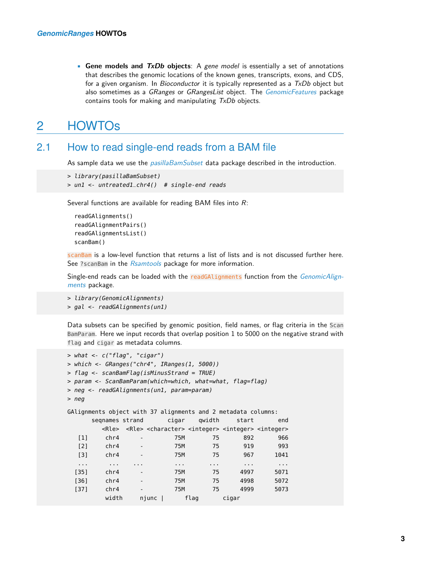• **Gene models and TxDb objects**: A gene model is essentially a set of annotations that describes the genomic locations of the known genes, transcripts, exons, and CDS, for a given organism. In *Bioconductor* it is typically represented as a  $TxDb$  object but also sometimes as a GRanges or GRangesList object. The [GenomicFeatures](http://bioconductor.org/packages/GenomicFeatures) package contains tools for making and manipulating  $TxDb$  objects.

### <span id="page-2-0"></span>2 HOWTOs

#### 2.1 How to read single-end reads from a BAM file

<span id="page-2-1"></span>As sample data we use the *[pasillaBamSubset](http://bioconductor.org/packages/pasillaBamSubset)* data package described in the introduction.

```
> library(pasillaBamSubset)
> un1 <- untreated1_chr4() # single-end reads
```
Several functions are available for reading BAM files into  $R$ :

```
readGAlignments()
readGAlignmentPairs()
readGAlignmentsList()
scanBam()
```
scanBam is a low-level function that returns a list of lists and is not discussed further here. See ?scanBam in the [Rsamtools](http://bioconductor.org/packages/Rsamtools) package for more information.

Single-end reads can be loaded with the readGAlignments function from the [GenomicAlign](http://bioconductor.org/packages/GenomicAlignments)[ments](http://bioconductor.org/packages/GenomicAlignments) package.

```
> library(GenomicAlignments)
> gal <- readGAlignments(un1)
```
Data subsets can be specified by genomic position, field names, or flag criteria in the Scan BamParam. Here we input records that overlap position 1 to 5000 on the negative strand with flag and cigar as metadata columns.

```
> what <- c("flag", "cigar")
> which <- GRanges("chr4", IRanges(1, 5000))
> flag <- scanBamFlag(isMinusStrand = TRUE)
> param <- ScanBamParam(which=which, what=what, flag=flag)
> neg <- readGAlignments(un1, param=param)
> neg
GAlignments object with 37 alignments and 2 metadata columns:
    seqnames strand cigar qwidth start end
       <Rle> <Rle> <character> <integer> <integer> <integer>
  [1] chr4 - 75M 75 892 966
  [2] chr4 - 75M 75 919 993
  [3] chr4 - 75M 75 967 1041
  ... ... ... ... ... ... ...
 [35] chr4 - 75M 75 4997 5071
 [36] chr4 - 75M 75 4998 5072
 [37] chr4 - 75M 75 4999 5073
       width njunc | flag cigar
```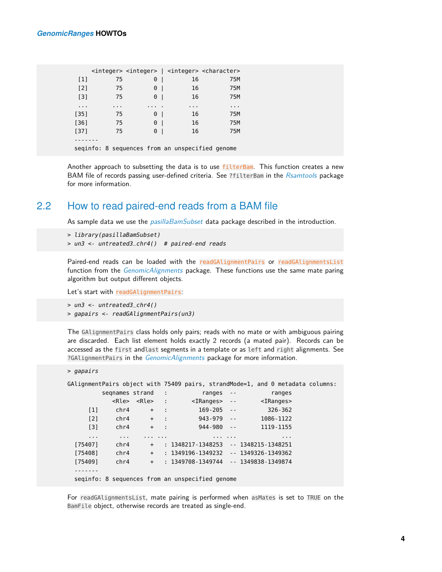|          |                      |    |          |     |          | <integer> <integer>   <integer> <character></character></integer></integer></integer> |          |  |
|----------|----------------------|----|----------|-----|----------|---------------------------------------------------------------------------------------|----------|--|
| $[1]$    |                      | 75 | 0        |     | 16       |                                                                                       | 75M      |  |
| $[2]$    |                      | 75 | 0        |     | 16       |                                                                                       | 75M      |  |
| $[3]$    | 75                   |    | 0        |     | 16       |                                                                                       | 75M      |  |
| $\cdots$ | $\sim$ $\sim$ $\sim$ |    | $\cdots$ |     | $\cdots$ |                                                                                       | $\cdots$ |  |
| $[35]$   | 75                   |    | 0        | - 1 | 16       |                                                                                       | 75M      |  |
| $[36]$   |                      | 75 | 0        |     | 16       |                                                                                       | 75M      |  |
| $[37]$   |                      | 75 | 0        |     | 16       |                                                                                       | 75M      |  |
|          |                      |    |          |     |          |                                                                                       |          |  |
|          |                      |    |          |     |          | seginfo: 8 sequences from an unspecified genome                                       |          |  |

<span id="page-3-0"></span>Another approach to subsetting the data is to use filterBam. This function creates a new BAM file of records passing user-defined criteria. See ?filterBam in the [Rsamtools](http://bioconductor.org/packages/Rsamtools) package for more information.

#### 2.2 How to read paired-end reads from a BAM file

As sample data we use the *[pasillaBamSubset](http://bioconductor.org/packages/pasillaBamSubset)* data package described in the introduction.

```
> library(pasillaBamSubset)
```

```
> un3 <- untreated3_chr4() # paired-end reads
```
Paired-end reads can be loaded with the readGAlignmentPairs or readGAlignmentsList function from the [GenomicAlignments](http://bioconductor.org/packages/GenomicAlignments) package. These functions use the same mate paring algorithm but output different objects.

Let's start with readGAlignmentPairs:

```
> un3 <- untreated3_chr4()
> gapairs <- readGAlignmentPairs(un3)
```
The GAlignmentPairs class holds only pairs; reads with no mate or with ambiguous pairing are discarded. Each list element holds exactly 2 records (a mated pair). Records can be accessed as the first andlast segments in a template or as left and right alignments. See ?GAlignmentPairs in the [GenomicAlignments](http://bioconductor.org/packages/GenomicAlignments) package for more information.

```
> gapairs
```

| GAlignmentPairs object with 75409 pairs, strandMode=1, and 0 metadata columns: |                      |                           |                       |   |                                           |                     |               |  |                     |  |
|--------------------------------------------------------------------------------|----------------------|---------------------------|-----------------------|---|-------------------------------------------|---------------------|---------------|--|---------------------|--|
|                                                                                | segnames strand      |                           |                       | ÷ |                                           | ranges              | $\sim$ $\sim$ |  | ranges              |  |
|                                                                                |                      | <rle> <rle> :</rle></rle> |                       |   |                                           | <iranges></iranges> | $\sim$ $\sim$ |  | <iranges></iranges> |  |
| $\lceil 1 \rceil$                                                              | chr4                 |                           | $\ddot{}$<br>$\sim$ : |   |                                           | $169 - 205 - -$     |               |  | $326 - 362$         |  |
| $[2]$                                                                          | chr4                 |                           | $\ddot{}$<br>$\sim$ : |   |                                           | $943 - 979 - -$     |               |  | 1086-1122           |  |
| $\lceil 3 \rceil$                                                              | chr4                 |                           | $+$<br>$\sim$ 1       |   |                                           | $944 - 980 - -$     |               |  | 1119 - 1155         |  |
| $\sim$ $\sim$ $\sim$                                                           | $\sim$ $\sim$ $\sim$ |                           | .                     |   |                                           | $\cdots$            | $\cdots$      |  | $\cdots$            |  |
| [75407]                                                                        | chr4                 |                           | $\ddot{}$             |   | $: 1348217 - 1348253$                     |                     |               |  | -- 1348215-1348251  |  |
| [75408]                                                                        | chr4                 |                           | $+$                   |   | $: 1349196 - 1349232 - 1349326 - 1349362$ |                     |               |  |                     |  |
| [75409]                                                                        | chr4                 |                           | $+$                   |   | $: 1349708 - 1349744 - 1349838 - 1349874$ |                     |               |  |                     |  |
|                                                                                |                      |                           |                       |   |                                           |                     |               |  |                     |  |
| seginfo: 8 sequences from an unspecified genome                                |                      |                           |                       |   |                                           |                     |               |  |                     |  |

For readGAlignmentsList, mate pairing is performed when asMates is set to TRUE on the BamFile object, otherwise records are treated as single-end.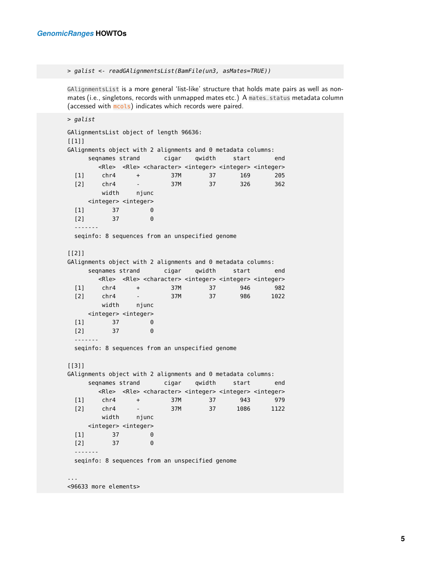```
> galist <- readGAlignmentsList(BamFile(un3, asMates=TRUE))
```
GAlignmentsList is a more general 'list-like' structure that holds mate pairs as well as nonmates (i.e., singletons, records with unmapped mates etc.) A mates\_status metadata column (accessed with mcols) indicates which records were paired.

```
> galist
GAlignmentsList object of length 96636:
[1]]
GAlignments object with 2 alignments and 0 metadata columns:
    seqnames strand cigar qwidth start end
      <Rle> <Rle> <character> <integer> <integer> <integer>
 [1] chr4 + 37M 37 169 205
 [2] chr4 - 37M 37 326 362
       width njunc
    <integer> <integer>
 [1] 37 0
 [2] 37 0
 -------
 seqinfo: 8 sequences from an unspecified genome
[[2]]
GAlignments object with 2 alignments and 0 metadata columns:
    seqnames strand cigar qwidth start end
      <Rle> <Rle> <character> <integer> <integer> <integer>
 [1] chr4 + 37M 37 946 982
 [2] chr4 - 37M 37 986 1022
       width njunc
    <integer> <integer>
 [1] 37 0
 [2] 37 0
 -------
 seqinfo: 8 sequences from an unspecified genome
[[3]]
GAlignments object with 2 alignments and 0 metadata columns:
    seqnames strand cigar qwidth start end
      <Rle> <Rle> <character> <integer> <integer> <integer>
 [1] chr4 + 37M 37 943 979
 [2] chr4 - 37M 37 1086 1122
       width njunc
    <integer> <integer>
 [1] 37 0
 [2] 37 0
 -------
 seqinfo: 8 sequences from an unspecified genome
...
<96633 more elements>
```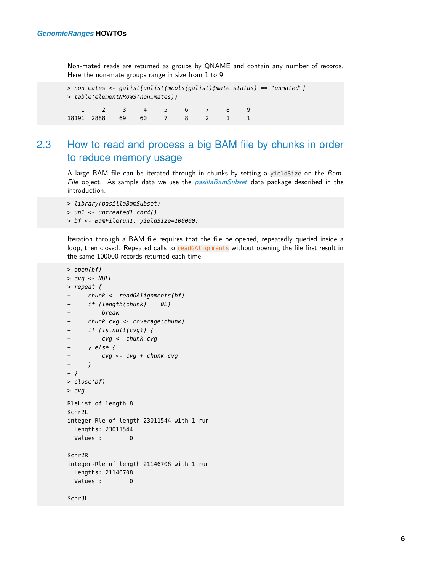Non-mated reads are returned as groups by QNAME and contain any number of records. Here the non-mate groups range in size from 1 to 9.

```
> non_mates <- galist[unlist(mcols(galist)$mate_status) == "unmated"]
> table(elementNROWS(non_mates))
   1 2 3 4 5 6 7 8 9
18191 2888 69 60 7 8 2 1 1
```
### <span id="page-5-0"></span>2.3 How to read and process a big BAM file by chunks in order to reduce memory usage

A large BAM file can be iterated through in chunks by setting a yieldSize on the Bam-File object. As sample data we use the  $pasillaBamSubset$  data package described in the introduction.

```
> library(pasillaBamSubset)
> un1 <- untreated1_chr4()
> bf <- BamFile(un1, yieldSize=100000)
```
Iteration through a BAM file requires that the file be opened, repeatedly queried inside a loop, then closed. Repeated calls to readGAlignments without opening the file first result in the same 100000 records returned each time.

```
> open(bf)
> cvg <- NULL
> repeat {
+ chunk <- readGAlignments(bf)
+ if (length(chunk) == 0L)
+ break
+ chunk_cvg <- coverage(chunk)
+ if (is.null(cvg)) {
+ cvg <- chunk_cvg
+ } else {
+ cvg <- cvg + chunk_cvg
+ }
+ }
> close(bf)
> cvg
RleList of length 8
$chr2L
integer-Rle of length 23011544 with 1 run
 Lengths: 23011544
 Values : 0
$chr2R
integer-Rle of length 21146708 with 1 run
 Lengths: 21146708
 Values : 0
$chr3L
```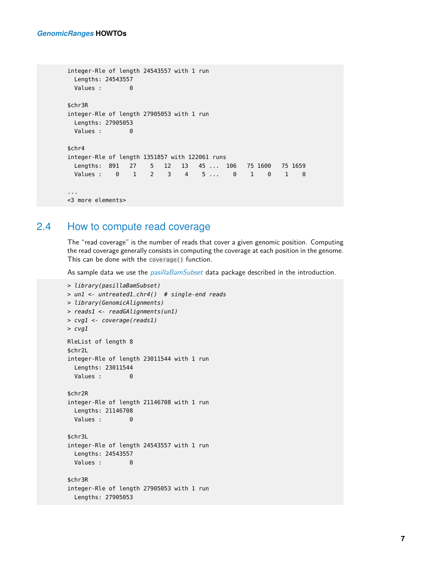```
integer-Rle of length 24543557 with 1 run
 Lengths: 24543557
 Values : 0
$chr3R
integer-Rle of length 27905053 with 1 run
 Lengths: 27905053
 Values : 0
$chr4
integer-Rle of length 1351857 with 122061 runs
 Lengths: 891 27 5 12 13 45 ... 106 75 1600 75 1659
 Values : 0 1 2 3 4 5... 0 1 0 1 0
...
<3 more elements>
```
#### 2.4 How to compute read coverage

<span id="page-6-0"></span>The "read coverage" is the number of reads that cover a given genomic position. Computing the read coverage generally consists in computing the coverage at each position in the genome. This can be done with the coverage() function.

As sample data we use the *[pasillaBamSubset](http://bioconductor.org/packages/pasillaBamSubset)* data package described in the introduction.

```
> library(pasillaBamSubset)
> un1 <- untreated1_chr4() # single-end reads
> library(GenomicAlignments)
> reads1 <- readGAlignments(un1)
> cvg1 <- coverage(reads1)
> cvg1
RleList of length 8
$chr2L
integer-Rle of length 23011544 with 1 run
 Lengths: 23011544
 Values : 0
$chr2R
integer-Rle of length 21146708 with 1 run
  Lengths: 21146708
  Values : 0
$chr3L
integer-Rle of length 24543557 with 1 run
  Lengths: 24543557
 Values : 0
$chr3R
integer-Rle of length 27905053 with 1 run
  Lengths: 27905053
```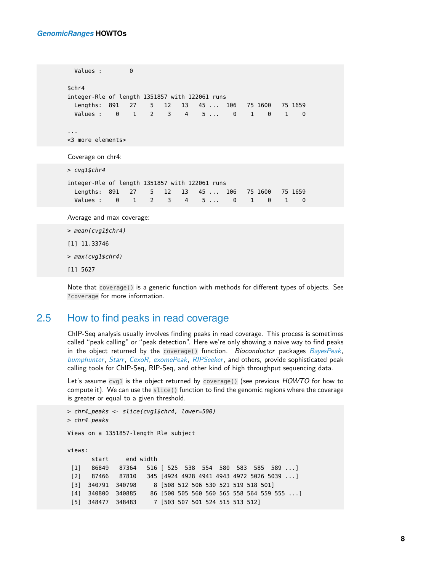```
Values : 0
$chr4
integer-Rle of length 1351857 with 122061 runs
 Lengths: 891 27 5 12 13 45 ... 106 75 1600 75 1659
 Values : 0 1 2 3 4 5... 0 1 0 1 0
...
<3 more elements>
Coverage on chr4:
> cvg1$chr4
integer-Rle of length 1351857 with 122061 runs
 Lengths: 891 27 5 12 13 45 ... 106 75 1600 75 1659
  Values : 0 1 2 3 4 5 ... 0 1 0 1 0
Average and max coverage:
> mean(cvg1$chr4)
[1] 11.33746
> max(cvg1$chr4)
```
[1] 5627

<span id="page-7-0"></span>Note that coverage() is a generic function with methods for different types of objects. See ?coverage for more information.

#### 2.5 How to find peaks in read coverage

ChIP-Seq analysis usually involves finding peaks in read coverage. This process is sometimes called "peak calling" or "peak detection". Here we're only showing a naive way to find peaks in the object returned by the coverage() function. Bioconductor packages [BayesPeak](http://bioconductor.org/packages/BayesPeak), [bumphunter](http://bioconductor.org/packages/bumphunter), [Starr](http://bioconductor.org/packages/Starr), [CexoR](http://bioconductor.org/packages/CexoR), [exomePeak](http://bioconductor.org/packages/exomePeak), [RIPSeeker](http://bioconductor.org/packages/RIPSeeker), and others, provide sophisticated peak calling tools for ChIP-Seq, RIP-Seq, and other kind of high throughput sequencing data.

Let's assume cvg1 is the object returned by coverage() (see previous HOWTO for how to compute it). We can use the slice() function to find the genomic regions where the coverage is greater or equal to a given threshold.

```
> chr4_peaks <- slice(cvg1$chr4, lower=500)
> chr4_peaks
Views on a 1351857-length Rle subject
views:
      start end width
 [1] 86849 87364 516 [ 525 538 554 580 583 585 589 ...]
 [2] 87466 87810 345 [4924 4928 4941 4943 4972 5026 5039 ...]
 [3] 340791 340798 8 [508 512 506 530 521 519 518 501]
 [4] 340800 340885 86 [500 505 560 560 565 558 564 559 555 ...]
 [5] 348477 348483 7 [503 507 501 524 515 513 512]
```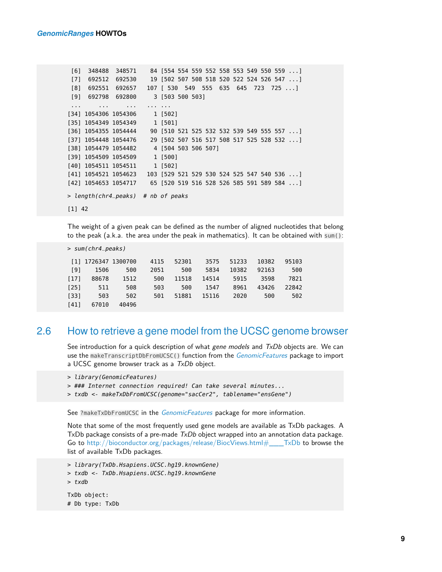```
[6] 348488 348571 84 [554 554 559 552 558 553 549 550 559 ...]
 [7] 692512 692530 19 [502 507 508 518 520 522 524 526 547 ...]
 [8] 692551 692657 107 [ 530 549 555 635 645 723 725 ...]
 [9] 692798 692800 3 [503 500 503]
 ... ... ... ... ...
[34] 1054306 1054306 1 [502]
[35] 1054349 1054349 1 [501]
[36] 1054355 1054444 90 [510 521 525 532 532 539 549 555 557 ...]
[37] 1054448 1054476 29 [502 507 516 517 508 517 525 528 532 ...]
[38] 1054479 1054482 4 [504 503 506 507]
[39] 1054509 1054509 1 [500]
[40] 1054511 1054511 1 [502]
[41] 1054521 1054623 103 [529 521 529 530 524 525 547 540 536 ...]
[42] 1054653 1054717 65 [520 519 516 528 526 585 591 589 584 ...]
> length(chr4_peaks) # nb of peaks
[1] 42
```
The weight of a given peak can be defined as the number of aligned nucleotides that belong to the peak (a.k.a. the area under the peak in mathematics). It can be obtained with sum():

```
> sum(chr4_peaks)
[1] 1726347 1300700 4115 52301 3575 51233 10382 95103
 [9] 1506 500 2051 500 5834 10382 92163 500
[17] 88678 1512 500 11518 14514 5915 3598 7821
[25] 511 508 503 500 1547 8961 43426 22842
[33] 503 502 501 51881 15116 2020 500 502
[41] 67010 40496
```
#### 2.6 How to retrieve a gene model from the UCSC genome browser

<span id="page-8-0"></span>See introduction for a quick description of what gene models and  $TxDb$  objects are. We can use the makeTranscriptDbFromUCSC() function from the *[GenomicFeatures](http://bioconductor.org/packages/GenomicFeatures)* package to import a UCSC genome browser track as a  $TxDb$  object.

```
> library(GenomicFeatures)
```
- > ### Internet connection required! Can take several minutes...
- > txdb <- makeTxDbFromUCSC(genome="sacCer2", tablename="ensGene")

See ?makeTxDbFromUCSC in the [GenomicFeatures](http://bioconductor.org/packages/GenomicFeatures) package for more information.

Note that some of the most frequently used gene models are available as TxDb packages. A TxDb package consists of a pre-made  $TxDb$  object wrapped into an annotation data package. Go to [http://bioconductor.org/packages/release/BiocViews.html#\\_\\_\\_TxDb](http://bioconductor.org/packages/release/BiocViews.html#___TxDb) to browse the list of available TxDb packages.

```
> library(TxDb.Hsapiens.UCSC.hg19.knownGene)
```
> txdb <- TxDb.Hsapiens.UCSC.hg19.knownGene

```
> txdb
```
TxDb object: # Db type: TxDb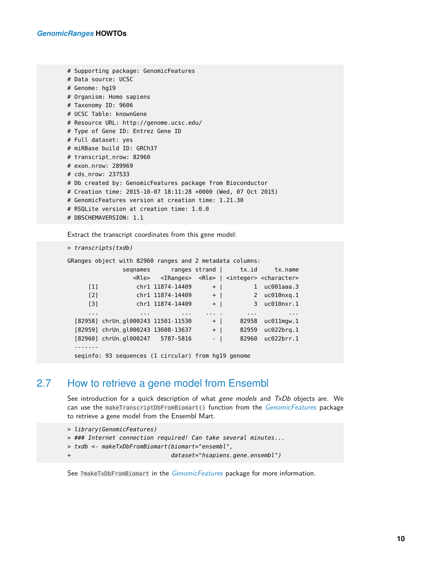```
# Supporting package: GenomicFeatures
# Data source: UCSC
# Genome: hg19
# Organism: Homo sapiens
# Taxonomy ID: 9606
# UCSC Table: knownGene
# Resource URL: http://genome.ucsc.edu/
# Type of Gene ID: Entrez Gene ID
# Full dataset: yes
# miRBase build ID: GRCh37
# transcript_nrow: 82960
# exon_nrow: 289969
# cds_nrow: 237533
# Db created by: GenomicFeatures package from Bioconductor
# Creation time: 2015-10-07 18:11:28 +0000 (Wed, 07 Oct 2015)
# GenomicFeatures version at creation time: 1.21.30
# RSQLite version at creation time: 1.0.0
```
# DBSCHEMAVERSION: 1.1

Extract the transcript coordinates from this gene model:

```
> transcripts(txdb)
```

```
GRanges object with 82960 ranges and 2 metadata columns:
```

|                   | segnames                                            |                  | ranges strand | tx_id                   | tx_name                                                                       |
|-------------------|-----------------------------------------------------|------------------|---------------|-------------------------|-------------------------------------------------------------------------------|
|                   | <rle></rle>                                         |                  |               |                         | <iranges> <rle>   <integer> <character></character></integer></rle></iranges> |
| $\lceil 1 \rceil$ |                                                     | chr1 11874-14409 | $\ddot{}$     | $\mathbf{1}$            | $uc001$ aaa.3                                                                 |
| $[2]$             |                                                     | chr1 11874-14409 | $+$           | $\overline{2}$          | uc@1@nxa.1                                                                    |
| $\lceil 3 \rceil$ |                                                     | chr1 11874-14409 | $+$           |                         | 3 uc010nxr.1                                                                  |
| $\cdots$          | $\cdots$                                            | $\cdots$         |               | $\cdot$ $\cdot$ $\cdot$ | $\cdot$ $\cdot$ $\cdot$                                                       |
|                   | [82958] chrUn_gl000243 11501-11530                  |                  | $+$           | 82958                   | $uc011$ mgw.1                                                                 |
|                   | [82959] chrUn_gl000243 13608-13637                  |                  | $+$           | 82959                   | uc@22bra.1                                                                    |
|                   | [82960] chrUn_gl000247 5787-5816                    |                  | $-$           | 82960                   | uc@22brr.1                                                                    |
|                   |                                                     |                  |               |                         |                                                                               |
|                   | seginfo: 93 sequences (1 circular) from hq19 genome |                  |               |                         |                                                                               |

#### 2.7 How to retrieve a gene model from Ensembl

<span id="page-9-0"></span>See introduction for a quick description of what gene models and  $TxDb$  objects are. We can use the makeTranscriptDbFromBiomart() function from the [GenomicFeatures](http://bioconductor.org/packages/GenomicFeatures) package to retrieve a gene model from the Ensembl Mart.

```
> library(GenomicFeatures)
```
- > ### Internet connection required! Can take several minutes...
- > txdb <- makeTxDbFromBiomart(biomart="ensembl",
- + dataset="hsapiens\_gene\_ensembl")

See ?makeTxDbFromBiomart in the *[GenomicFeatures](http://bioconductor.org/packages/GenomicFeatures)* package for more information.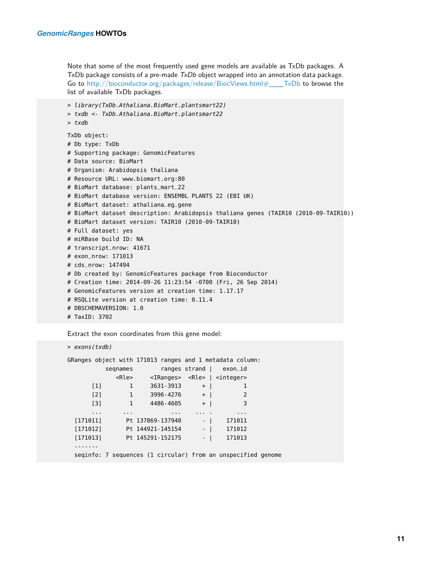Note that some of the most frequently used gene models are available as TxDb packages. A TxDb package consists of a pre-made  $TxDb$  object wrapped into an annotation data package. Go to [http://bioconductor.org/packages/release/BiocViews.html#\\_\\_\\_TxDb](http://bioconductor.org/packages/release/BiocViews.html#___TxDb) to browse the list of available TxDb packages.

```
> library(TxDb.Athaliana.BioMart.plantsmart22)
> txdb <- TxDb.Athaliana.BioMart.plantsmart22
> txdb
TxDb object:
# Db type: TxDb
# Supporting package: GenomicFeatures
# Data source: BioMart
# Organism: Arabidopsis thaliana
# Resource URL: www.biomart.org:80
# BioMart database: plants_mart_22
# BioMart database version: ENSEMBL PLANTS 22 (EBI UK)
# BioMart dataset: athaliana_eg_gene
# BioMart dataset description: Arabidopsis thaliana genes (TAIR10 (2010-09-TAIR10))
# BioMart dataset version: TAIR10 (2010-09-TAIR10)
# Full dataset: yes
# miRBase build ID: NA
# transcript_nrow: 41671
# exon_nrow: 171013
# cds_nrow: 147494
# Db created by: GenomicFeatures package from Bioconductor
# Creation time: 2014-09-26 11:23:54 -0700 (Fri, 26 Sep 2014)
# GenomicFeatures version at creation time: 1.17.17
# RSQLite version at creation time: 0.11.4
# DBSCHEMAVERSION: 1.0
# TaxID: 3702
```
Extract the exon coordinates from this gene model:

> exons(txdb)

<span id="page-10-0"></span>

|          |                   |              |  |                  |     |      | GRanges object with 171013 ranges and 1 metadata column:     |  |
|----------|-------------------|--------------|--|------------------|-----|------|--------------------------------------------------------------|--|
|          |                   | segnames     |  |                  |     |      | ranges strand $ $ exon_id                                    |  |
|          |                   | <rle></rle>  |  |                  |     |      | <iranges> <rle>   <integer></integer></rle></iranges>        |  |
|          | $\lceil 1 \rceil$ | 1            |  | 3631-3913        | $+$ |      | 1                                                            |  |
|          | $[2]$             | 1            |  | 3996-4276        | $+$ |      | 2                                                            |  |
|          | $\lceil 3 \rceil$ | $\mathbf{1}$ |  | 4486-4605        | $+$ |      | 3                                                            |  |
|          | $\cdots$          | $\cdots$     |  | $\sim$ $\sim$    |     |      | $\cdots$                                                     |  |
| [171011] |                   |              |  | Pt 137869-137940 |     | $-1$ | 171011                                                       |  |
| [171012] |                   |              |  | Pt 144921-145154 |     | $-1$ | 171012                                                       |  |
| [171013] |                   |              |  | Pt 145291-152175 |     | $-1$ | 171013                                                       |  |
|          |                   |              |  |                  |     |      |                                                              |  |
|          |                   |              |  |                  |     |      | seginfo: 7 sequences (1 circular) from an unspecified genome |  |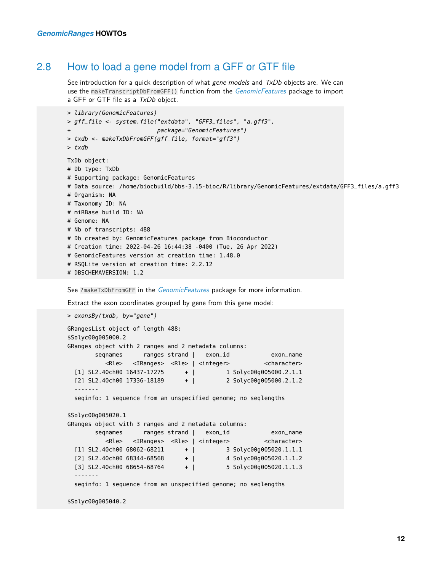#### 2.8 How to load a gene model from a GFF or GTF file

See introduction for a quick description of what gene models and  $TxDb$  objects are. We can use the makeTranscriptDbFromGFF() function from the *[GenomicFeatures](http://bioconductor.org/packages/GenomicFeatures)* package to import a GFF or GTF file as a TxDb object.

```
> library(GenomicFeatures)
> gff_file <- system.file("extdata", "GFF3_files", "a.gff3",
+ package="GenomicFeatures")
> txdb <- makeTxDbFromGFF(gff_file, format="gff3")
> txdb
TxDb object:
# Db type: TxDb
# Supporting package: GenomicFeatures
# Data source: /home/biocbuild/bbs-3.15-bioc/R/library/GenomicFeatures/extdata/GFF3_files/a.gff3
# Organism: NA
# Taxonomy ID: NA
# miRBase build ID: NA
# Genome: NA
# Nb of transcripts: 488
# Db created by: GenomicFeatures package from Bioconductor
# Creation time: 2022-04-26 16:44:38 -0400 (Tue, 26 Apr 2022)
# GenomicFeatures version at creation time: 1.48.0
# RSQLite version at creation time: 2.2.12
# DBSCHEMAVERSION: 1.2
```
See ?makeTxDbFromGFF in the *[GenomicFeatures](http://bioconductor.org/packages/GenomicFeatures)* package for more information.

Extract the exon coordinates grouped by gene from this gene model:

```
> exonsBy(txdb, by="gene")
GRangesList object of length 488:
$Solyc00g005000.2
GRanges object with 2 ranges and 2 metadata columns:
       seqnames ranges strand | exon_id exon_name
         <Rle> <IRanges> <Rle> | <integer> <character>
  [1] SL2.40ch00 16437-17275 + | 1 Solyc00g005000.2.1.1
  [2] SL2.40ch00 17336-18189 + | 2 Solyc00g005000.2.1.2
  -------
 seqinfo: 1 sequence from an unspecified genome; no seqlengths
$Solyc00g005020.1
GRanges object with 3 ranges and 2 metadata columns:
       seqnames ranges strand | exon_id exon_name
         <Rle> <IRanges> <Rle> | <integer> <character>
  [1] SL2.40ch00 68062-68211 + | 3 Solyc00g005020.1.1.1
  [2] SL2.40ch00 68344-68568 + | 4 Solyc00g005020.1.1.2
  [3] SL2.40ch00 68654-68764 + | 5 Solyc00g005020.1.1.3
 -------
 seqinfo: 1 sequence from an unspecified genome; no seqlengths
```

```
$Solyc00g005040.2
```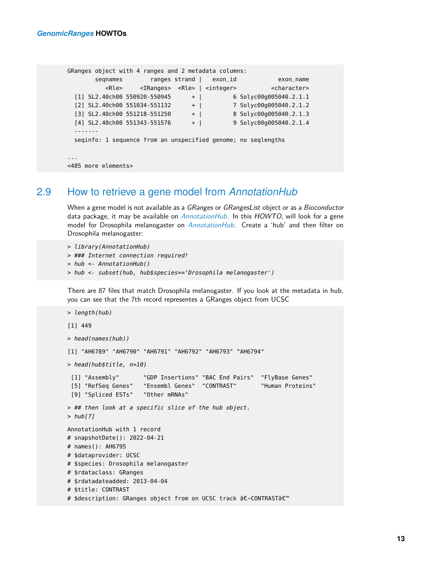```
GRanges object with 4 ranges and 2 metadata columns:
      seqnames ranges strand | exon_id exon_name
         <Rle> <IRanges> <Rle> | <integer> <character>
 [1] SL2.40ch00 550920-550945 + | 6 Solyc00g005040.2.1.1
 [2] SL2.40ch00 551034-551132 + | 7 Solyc00g005040.2.1.2
 [3] SL2.40ch00 551218-551250 + | 8 Solyc00g005040.2.1.3
 [4] SL2.40ch00 551343-551576 + | 9 Solyc00g005040.2.1.4
 -------
 seqinfo: 1 sequence from an unspecified genome; no seqlengths
...
<485 more elements>
```
#### 2.9 How to retrieve a gene model from *[AnnotationHub](http://bioconductor.org/packages/AnnotationHub)*

<span id="page-12-0"></span>When a gene model is not available as a *GRanges* or *GRangesList* object or as a *Bioconductor* data package, it may be available on  $AnnotationHub$ . In this  $HOWTO$ , will look for a gene model for Drosophila melanogaster on [AnnotationHub](http://bioconductor.org/packages/AnnotationHub). Create a 'hub' and then filter on Drosophila melanogaster:

```
> library(AnnotationHub)
```

```
> ### Internet connection required!
```
- > hub <- AnnotationHub()
- > hub <- subset(hub, hub\$species=='Drosophila melanogaster')

There are 87 files that match Drosophila melanogaster. If you look at the metadata in hub, you can see that the 7th record representes a GRanges object from UCSC

```
> length(hub)
[1] 449
> head(names(hub))
[1] "AH6789" "AH6790" "AH6791" "AH6792" "AH6793" "AH6794"
> head(hub$title, n=10)
 [1] "Assembly" "GDP Insertions" "BAC End Pairs" "FlyBase Genes"
 [5] "RefSeq Genes" "Ensembl Genes" "CONTRAST" "Human Proteins"
 [9] "Spliced ESTs" "Other mRNAs"
> ## then look at a specific slice of the hub object.
> hub[7]AnnotationHub with 1 record
# snapshotDate(): 2022-04-21
# names(): AH6795
# $dataprovider: UCSC
# $species: Drosophila melanogaster
# $rdataclass: GRanges
# $rdatadateadded: 2013-04-04
# $title: CONTRAST
# $description: GRanges object from on UCSC track â€~CONTRAST'
```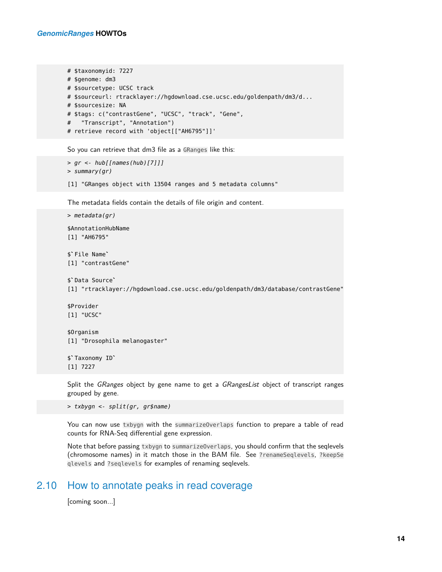```
# $taxonomyid: 7227
# $genome: dm3
# $sourcetype: UCSC track
# $sourceurl: rtracklayer://hgdownload.cse.ucsc.edu/goldenpath/dm3/d...
# $sourcesize: NA
# $tags: c("contrastGene", "UCSC", "track", "Gene",
# "Transcript", "Annotation")
# retrieve record with 'object[["AH6795"]]'
```
So you can retrieve that dm3 file as a GRanges like this:

```
> gr <- hub[[names(hub)[7]]]
> summary(gr)
```
[1] "GRanges object with 13504 ranges and 5 metadata columns"

The metadata fields contain the details of file origin and content.

```
> metadata(gr)
$AnnotationHubName
[1] "AH6795"
%AnnotationH<br>[1] "AH6795"<br>$`File Name`
[1] "contrastGene"
$`File Name`<br>[1] "contrastG<br>$`Data Source`
[1] "rtracklayer://hgdownload.cse.ucsc.edu/goldenpath/dm3/database/contrastGene"
$Provider
[1] "UCSC"
$Organism
[1] "Drosophila melanogaster"
$Organism<br>[1] "Drosophil<br>$`Taxonomy ID`
[1] 7227
Split the GRanges object by gene name to get a GRangesList object of transcript ranges
```
grouped by gene.

> txbygn <- split(gr, gr\$name)

You can now use txbygn with the summarizeOverlaps function to prepare a table of read counts for RNA-Seq differential gene expression.

<span id="page-13-0"></span>Note that before passing txbygn to summarizeOverlaps, you should confirm that the seqlevels (chromosome names) in it match those in the BAM file. See ?renameSeqlevels, ?keepSe qlevels and ?seqlevels for examples of renaming seqlevels.

#### 2.10 How to annotate peaks in read coverage

<span id="page-13-1"></span>[coming soon...]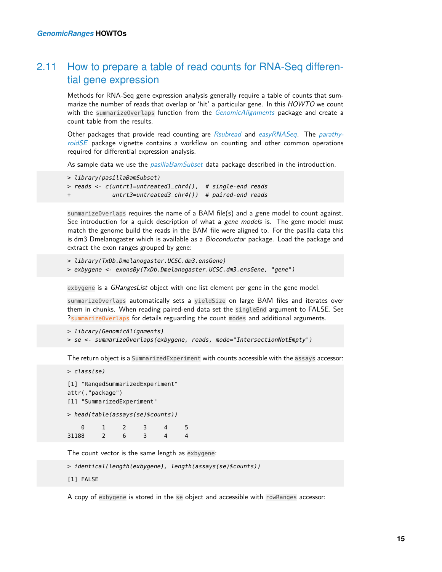#### 2.11 How to prepare a table of read counts for RNA-Seq differential gene expression

Methods for RNA-Seq gene expression analysis generally require a table of counts that summarize the number of reads that overlap or 'hit' a particular gene. In this HOWTO we count with the summarizeOverlaps function from the [GenomicAlignments](http://bioconductor.org/packages/GenomicAlignments) package and create a count table from the results.

Other packages that provide read counting are [Rsubread](http://bioconductor.org/packages/Rsubread) and [easyRNASeq](http://bioconductor.org/packages/easyRNASeq). The [parathy](http://bioconductor.org/packages/parathyroidSE)[roidSE](http://bioconductor.org/packages/parathyroidSE) package vignette contains a workflow on counting and other common operations required for differential expression analysis.

As sample data we use the *[pasillaBamSubset](http://bioconductor.org/packages/pasillaBamSubset)* data package described in the introduction.

```
> library(pasillaBamSubset)
```
- > reads <- c(untrt1=untreated1\_chr4(), # single-end reads
- $untrt3=untreated3_{ch}r4()$  # paired-end reads

summarizeOverlaps requires the name of a BAM file(s) and a gene model to count against. See introduction for a quick description of what a gene models is. The gene model must match the genome build the reads in the BAM file were aligned to. For the pasilla data this is dm3 Dmelanogaster which is available as a *Bioconductor* package. Load the package and extract the exon ranges grouped by gene:

```
> library(TxDb.Dmelanogaster.UCSC.dm3.ensGene)
```

```
> exbygene <- exonsBy(TxDb.Dmelanogaster.UCSC.dm3.ensGene, "gene")
```
exbygene is a GRangesList object with one list element per gene in the gene model.

summarizeOverlaps automatically sets a yieldSize on large BAM files and iterates over them in chunks. When reading paired-end data set the singleEnd argument to FALSE. See ?summarizeOverlaps for details reguarding the count modes and additional arguments.

```
> library(GenomicAlignments)
> se <- summarizeOverlaps(exbygene, reads, mode="IntersectionNotEmpty")
```
The return object is a SummarizedExperiment with counts accessible with the assays accessor:

```
> class(se)
```

```
[1] "RangedSummarizedExperiment"
attr(,"package")
[1] "SummarizedExperiment"
> head(table(assays(se)$counts))
   0 1 2 3 4 5
31188 2 6 3 4 4
```
The count vector is the same length as exbygene:

```
> identical(length(exbygene), length(assays(se)$counts))
```

```
[1] FALSE
```
A copy of exbygene is stored in the se object and accessible with rowRanges accessor: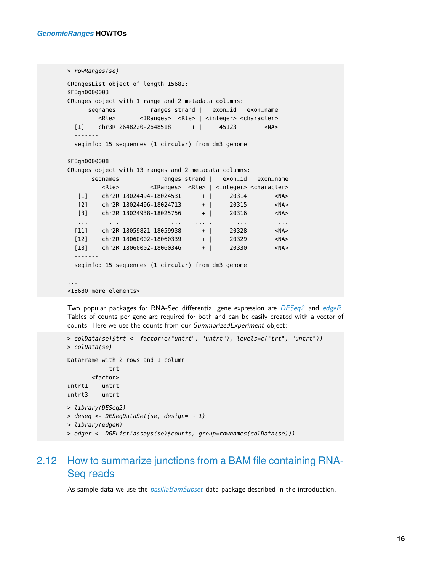```
> rowRanges(se)
GRangesList object of length 15682:
$FBgn0000003
GRanges object with 1 range and 2 metadata columns:
     seqnames ranges strand | exon_id exon_name
       <Rle> <IRanges> <Rle> | <integer> <character>
 [1] chr3R 2648220-2648518 + | 45123 <NA>
  -------
 seqinfo: 15 sequences (1 circular) from dm3 genome
$FBgn0000008
GRanges object with 13 ranges and 2 metadata columns:
     seqnames ranges strand | exon_id exon_name
        <Rle> <IRanges> <Rle> | <integer> <character>
  [1] chr2R 18024494-18024531 + | 20314 <NA>
  [2] chr2R 18024496-18024713 + | 20315 <NA>
  [3] chr2R 18024938-18025756 + | 20316 <NA>
  ... ... ... ... . ... ...
 [11] chr2R 18059821-18059938 + | 20328 <NA>
 [12] chr2R 18060002-18060339 + | 20329 <NA>
 [13] chr2R 18060002-18060346 + | 20330 <NA>
  -------
 seqinfo: 15 sequences (1 circular) from dm3 genome
...
```
<15680 more elements>

Two popular packages for RNA-Seq differential gene expression are [DESeq2](http://bioconductor.org/packages/DESeq2) and [edgeR](http://bioconductor.org/packages/edgeR). Tables of counts per gene are required for both and can be easily created with a vector of counts. Here we use the counts from our SummarizedExperiment object:

```
> colData(se)$trt <- factor(c("untrt", "untrt"), levels=c("trt", "untrt"))
> colData(se)
DataFrame with 2 rows and 1 column
           trt
       <factor>
untrt1 untrt
untrt3 untrt
> library(DESeq2)
> deseq <- DESeqDataSet(se, design= ~ 1)
> library(edgeR)
> edger <- DGEList(assays(se)$counts, group=rownames(colData(se)))
```
### <span id="page-15-0"></span>2.12 How to summarize junctions from a BAM file containing RNA-Seq reads

As sample data we use the *[pasillaBamSubset](http://bioconductor.org/packages/pasillaBamSubset)* data package described in the introduction.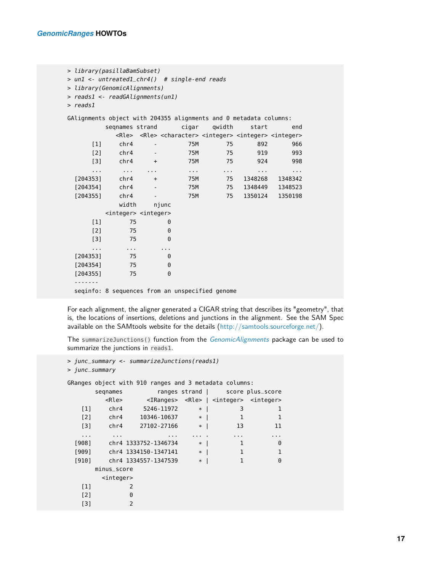```
> library(pasillaBamSubset)
> un1 <- untreated1_chr4() # single-end reads
> library(GenomicAlignments)
> reads1 <- readGAlignments(un1)
> reads1
GAlignments object with 204355 alignments and 0 metadata columns:
       seqnames strand cigar qwidth start end
         <Rle> <Rle> <character> <integer> <integer> <integer>
     [1] chr4 - 75M 75 892 966
     [2] chr4 - 75M 75 919 993
     [3] chr4 + 75M 75 924 998
     ... ... ... ... ... ... ...
 [204353] chr4 + 75M 75 1348268 1348342
 [204354] chr4 - 75M 75 1348449 1348523
 [204355] chr4 - 75M 75 1350124 1350198
          width njunc
       <integer> <integer>
    [1] 75 0
    [2] 75 0
    [3] 75 0
    ... ... ...
 [204353] 75 0
 [204354] 75 0
 [204355] 75 0
 -------
 seqinfo: 8 sequences from an unspecified genome
```
For each alignment, the aligner generated a CIGAR string that describes its "geometry", that is, the locations of insertions, deletions and junctions in the alignment. See the SAM Spec available on the SAMtools website for the details [\(http://samtools.sourceforge.net/\)](http://samtools.sourceforge.net/).

The summarizeJunctions() function from the [GenomicAlignments](http://bioconductor.org/packages/GenomicAlignments) package can be used to summarize the junctions in reads1.

```
> junc_summary <- summarizeJunctions(reads1)
> junc_summary
GRanges object with 910 ranges and 3 metadata columns:
     seqnames ranges strand | score plus_score
       <Rle> <IRanges> <Rle> | <integer> <integer>
  [1] chr4 5246-11972 * | 3 1
  [2] chr4 10346-10637 * | 1
  [3] chr4 27102-27166 * | 13 11
  ... ... ... ... . ... ...
 [908] chr4 1333752-1346734 * | 1 0
 [909] chr4 1334150-1347141 * | 1 1
 [910] chr4 1334557-1347539 * | 1 0
     minus_score
      <integer>
  [1] 2
  [2] 0
  [3] 2
```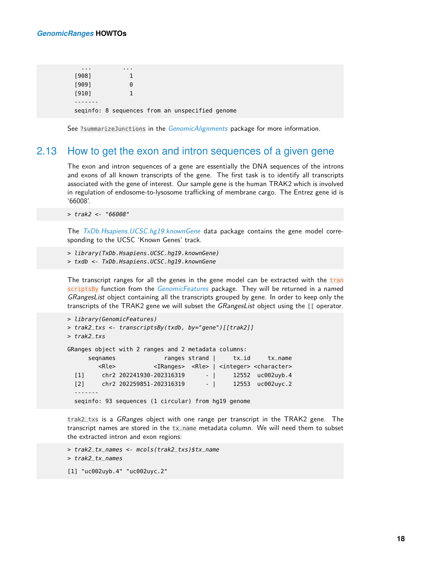... ...

| [908] |                        |                                                 |  |
|-------|------------------------|-------------------------------------------------|--|
| [909] | $\left( \cdot \right)$ |                                                 |  |
| [910] |                        |                                                 |  |
|       |                        |                                                 |  |
|       |                        | seqinfo: 8 sequences from an unspecified genome |  |

<span id="page-17-0"></span>See ?summarizeJunctions in the *[GenomicAlignments](http://bioconductor.org/packages/GenomicAlignments)* package for more information.

#### 2.13 How to get the exon and intron sequences of a given gene

The exon and intron sequences of a gene are essentially the DNA sequences of the introns and exons of all known transcripts of the gene. The first task is to identify all transcripts associated with the gene of interest. Our sample gene is the human TRAK2 which is involved in regulation of endosome-to-lysosome trafficking of membrane cargo. The Entrez gene id is '66008'.

```
> trak2 <- "66008"
```
The [TxDb.Hsapiens.UCSC.hg19.knownGene](http://bioconductor.org/packages/TxDb.Hsapiens.UCSC.hg19.knownGene) data package contains the gene model corresponding to the UCSC 'Known Genes' track.

> library(TxDb.Hsapiens.UCSC.hg19.knownGene)

> txdb <- TxDb.Hsapiens.UCSC.hg19.knownGene

The transcript ranges for all the genes in the gene model can be extracted with the tran scriptsBy function from the [GenomicFeatures](http://bioconductor.org/packages/GenomicFeatures) package. They will be returned in a named GRangesList object containing all the transcripts grouped by gene. In order to keep only the transcripts of the TRAK2 gene we will subset the GRangesList object using the [[ operator.

```
> library(GenomicFeatures)
> trak2_txs <- transcriptsBy(txdb, by="gene")[[trak2]]
> trak2_txs
GRanges object with 2 ranges and 2 metadata columns:
     seqnames ranges strand | tx_id tx_name
       <Rle> <IRanges> <Rle> | <integer> <character>
  [1] chr2 202241930-202316319 - | 12552 uc002uyb.4
  [2] chr2 202259851-202316319 - | 12553 uc002uyc.2
  -------
  seqinfo: 93 sequences (1 circular) from hg19 genome
```
trak2\_txs is a *GRanges* object with one range per transcript in the TRAK2 gene. The transcript names are stored in the tx\_name metadata column. We will need them to subset the extracted intron and exon regions:

```
> trak2_tx_names <- mcols(trak2_txs)$tx_name
> trak2_tx_names
[1] "uc002uyb.4" "uc002uyc.2"
```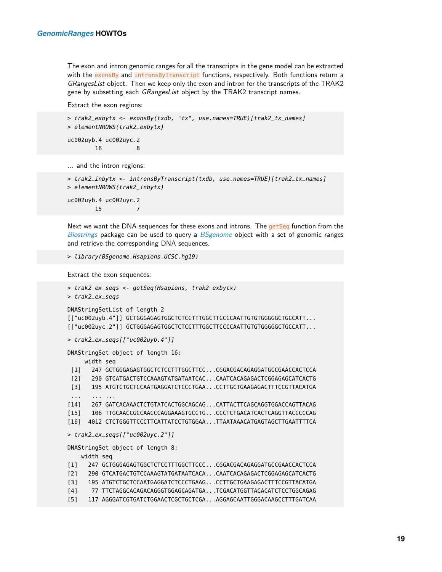The exon and intron genomic ranges for all the transcripts in the gene model can be extracted with the exonsBy and intronsByTranscript functions, respectively. Both functions return a GRangesList object. Then we keep only the exon and intron for the transcripts of the TRAK2 gene by subsetting each GRangesList object by the TRAK2 transcript names.

Extract the exon regions:

```
> trak2_exbytx <- exonsBy(txdb, "tx", use.names=TRUE)[trak2_tx_names]
> elementNROWS(trak2_exbytx)
uc002uyb.4 uc002uyc.2
        16 8
... and the intron regions:
> trak2_inbytx <- intronsByTranscript(txdb, use.names=TRUE)[trak2_tx_names]
> elementNROWS(trak2_inbytx)
```
uc002uyb.4 uc002uyc.2 15

Next we want the DNA sequences for these exons and introns. The getSeq function from the [Biostrings](http://bioconductor.org/packages/Biostrings) package can be used to query a [BSgenome](http://bioconductor.org/packages/BSgenome) object with a set of genomic ranges and retrieve the corresponding DNA sequences.

```
> library(BSgenome.Hsapiens.UCSC.hg19)
```
Extract the exon sequences:

```
> trak2_ex_seqs <- getSeq(Hsapiens, trak2_exbytx)
> trak2_ex_seqs
DNAStringSetList of length 2
[["uc002uyb.4"]] GCTGGGAGAGTGGCTCTCCTTTGGCTTCCCCAATTGTGTGGGGGCTGCCATT...
[["uc002uyc.2"]] GCTGGGAGAGTGGCTCTCCTTTGGCTTCCCCAATTGTGTGGGGGCTGCCATT...
> trak2_ex_seqs[["uc002uyb.4"]]
DNAStringSet object of length 16:
     width seq
 [1] 247 GCTGGGAGAGTGGCTCTCCTTTGGCTTCC...CGGACGACAGAGGATGCCGAACCACTCCA
 [2] 290 GTCATGACTGTCCAAAGTATGATAATCAC...CAATCACAGAGACTCGGAGAGCATCACTG
 [3] 195 ATGTCTGCTCCAATGAGGATCTCCCTGAA...CCTTGCTGAAGAGACTTTCCGTTACATGA
 ... ... ...
[14] 267 GATCACAAACTCTGTATCACTGGCAGCAG...CATTACTTCAGCAGGTGGACCAGTTACAG
[15] 106 TTGCAACCGCCAACCCAGGAAAGTGCCTG...CCCTCTGACATCACTCAGGTTACCCCCAG
[16] 4012 CTCTGGGTTCCCTTCATTATCCTGTGGAA...TTAATAAACATGAGTAGCTTGAATTTTCA
> trak2_ex_seqs[["uc002uyc.2"]]
DNAStringSet object of length 8:
    width seq
[1] 247 GCTGGGAGAGTGGCTCTCCTTTGGCTTCCC...CGGACGACAGAGGATGCCGAACCACTCCA
[2] 290 GTCATGACTGTCCAAAGTATGATAATCACA...CAATCACAGAGACTCGGAGAGCATCACTG
[3] 195 ATGTCTGCTCCAATGAGGATCTCCCTGAAG...CCTTGCTGAAGAGACTTTCCGTTACATGA
[4] 77 TTCTAGGCACAGACAGGGTGGAGCAGATGA...TCGACATGGTTACACATCTCCTGGCAGAG
[5] 117 AGGGATCGTGATCTGGAACTCGCTGCTCGA...AGGAGCAATTGGGACAAGCCTTTGATCAA
```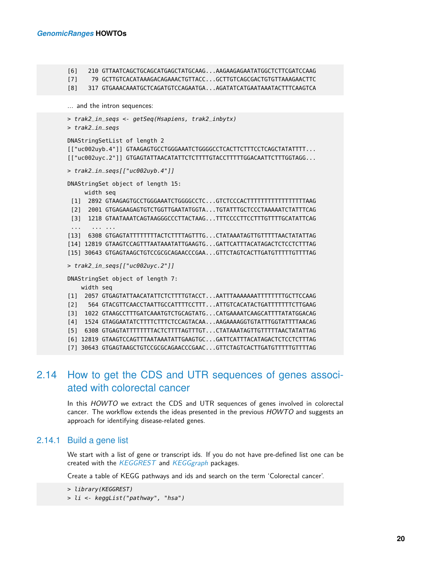```
[6] 210 GTTAATCAGCTGCAGCATGAGCTATGCAAG...AAGAAGAGAATATGGCTCTTCGATCCAAG
[7] 79 GCTTGTCACATAAAGACAGAAACTGTTACC...GCTTGTCAGCGACTGTGTTAAAGAACTTC
[8] 317 GTGAAACAAATGCTCAGATGTCCAGAATGA...AGATATCATGAATAAATACTTTCAAGTCA
... and the intron sequences:
> trak2_in_seqs <- getSeq(Hsapiens, trak2_inbytx)
> trak2_in_seqs
DNAStringSetList of length 2
[["uc002uyb.4"]] GTAAGAGTGCCTGGGAAATCTGGGGCCTCACTTCTTTCCTCAGCTATATTTT...
[["uc002uyc.2"]] GTGAGTATTAACATATTCTCTTTTGTACCTTTTTGGACAATTCTTTGGTAGG...
> trak2_in_seqs[["uc002uyb.4"]]
DNAStringSet object of length 15:
     width seq
 [1] 2892 GTAAGAGTGCCTGGGAAATCTGGGGCCTC...GTCTCCCACTTTTTTTTTTTTTTTTTAAG
 [2] 2001 GTGAGAAGAGTGTCTGGTTGAATATGGTA...TGTATTTGCTCCCTAAAAATCTATTTCAG
 [3] 1218 GTAATAAATCAGTAAGGGCCCTTACTAAG...TTTCCCCTTCCTTTGTTTTGCATATTCAG
 ... ... ...
[13] 6308 GTGAGTATTTTTTTTACTCTTTTAGTTTG...CTATAAATAGTTGTTTTTAACTATATTAG
[14] 12819 GTAAGTCCAGTTTAATAAATATTGAAGTG...GATTCATTTACATAGACTCTCCTCTTTAG
[15] 30643 GTGAGTAAGCTGTCCGCGCAGAACCCGAA...GTTCTAGTCACTTGATGTTTTTGTTTTAG
> trak2_in_seqs[["uc002uyc.2"]]
DNAStringSet object of length 7:
    width seq
[1] 2057 GTGAGTATTAACATATTCTCTTTTGTACCT...AATTTAAAAAAATTTTTTTTGCTTCCAAG
[2] 564 GTACGTTCAACCTAATTGCCATTTTCCTTT...ATTGTCACATACTGATTTTTTTCTTGAAG
[3] 1022 GTAAGCCTTTGATCAAATGTCTGCAGTATG...CATGAAAATCAAGCATTTTATATGGACAG
[4] 1524 GTAGGAATATCTTTTCTTTCTCCAGTACAA...AAGAAAAGGTGTATTTGGTATTTTAACAG
[5] 6308 GTGAGTATTTTTTTTACTCTTTTAGTTTGT...CTATAAATAGTTGTTTTTAACTATATTAG
[6] 12819 GTAAGTCCAGTTTAATAAATATTGAAGTGC...GATTCATTTACATAGACTCTCCTCTTTAG
[7] 30643 GTGAGTAAGCTGTCCGCGCAGAACCCGAAC...GTTCTAGTCACTTGATGTTTTTGTTTTAG
```
### <span id="page-19-0"></span>2.14 How to get the CDS and UTR sequences of genes associated with colorectal cancer

<span id="page-19-1"></span>In this HOWTO we extract the CDS and UTR sequences of genes involved in colorectal cancer. The workflow extends the ideas presented in the previous HOWTO and suggests an approach for identifying disease-related genes.

#### 2.14.1 Build a gene list

We start with a list of gene or transcript ids. If you do not have pre-defined list one can be created with the [KEGGREST](http://bioconductor.org/packages/KEGGREST) and [KEGGgraph](http://bioconductor.org/packages/KEGGgraph) packages.

Create a table of KEGG pathways and ids and search on the term 'Colorectal cancer'.

```
> library(KEGGREST)
> li <- keggList("pathway", "hsa")
```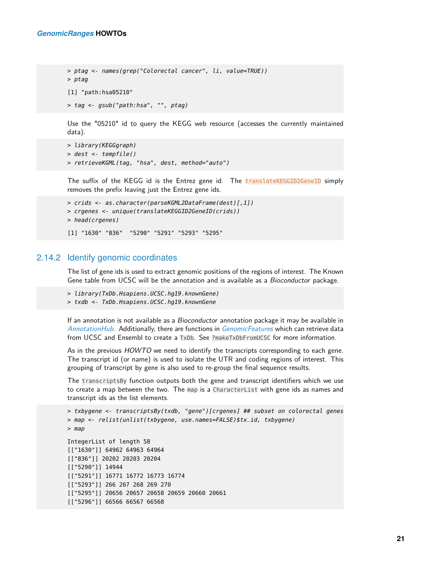```
> ptag <- names(grep("Colorectal cancer", li, value=TRUE))
> ptag
[1] "path:hsa05210"
> tag <- gsub("path:hsa", "", ptag)
```
Use the "05210" id to query the KEGG web resource (accesses the currently maintained data).

```
> library(KEGGgraph)
> dest <- tempfile()
> retrieveKGML(tag, "hsa", dest, method="auto")
```
The suffix of the KEGG id is the Entrez gene id. The translateKEGGID2GeneID simply removes the prefix leaving just the Entrez gene ids.

```
> crids <- as.character(parseKGML2DataFrame(dest)[,1])
> crgenes <- unique(translateKEGGID2GeneID(crids))
> head(crgenes)
[1] "1630" "836" "5290" "5291" "5293" "5295"
```
#### 2.14.2 Identify genomic coordinates

<span id="page-20-0"></span>The list of gene ids is used to extract genomic positions of the regions of interest. The Known Gene table from UCSC will be the annotation and is available as a Bioconductor package.

- > library(TxDb.Hsapiens.UCSC.hg19.knownGene)
- > txdb <- TxDb.Hsapiens.UCSC.hg19.knownGene

If an annotation is not available as a *Bioconductor* annotation package it may be available in [AnnotationHub](http://bioconductor.org/packages/AnnotationHub). Additionally, there are functions in [GenomicFeatures](http://bioconductor.org/packages/GenomicFeatures) which can retrieve data from UCSC and Ensembl to create a TxDb. See ?makeTxDbFromUCSC for more information.

As in the previous HOWTO we need to identify the transcripts corresponding to each gene. The transcript id (or name) is used to isolate the UTR and coding regions of interest. This grouping of transcript by gene is also used to re-group the final sequence results.

The transcriptsBy function outputs both the gene and transcript identifiers which we use to create a map between the two. The map is a CharacterList with gene ids as names and transcript ids as the list elements.

```
> txbygene <- transcriptsBy(txdb, "gene")[crgenes] ## subset on colorectal genes
> map <- relist(unlist(txbygene, use.names=FALSE)$tx_id, txbygene)
> map
IntegerList of length 58
[["1630"]] 64962 64963 64964
[["836"]] 20202 20203 20204
[["5290"]] 14944
[["5291"]] 16771 16772 16773 16774
[["5293"]] 266 267 268 269 270
[["5295"]] 20656 20657 20658 20659 20660 20661
[["5296"]] 66566 66567 66568
```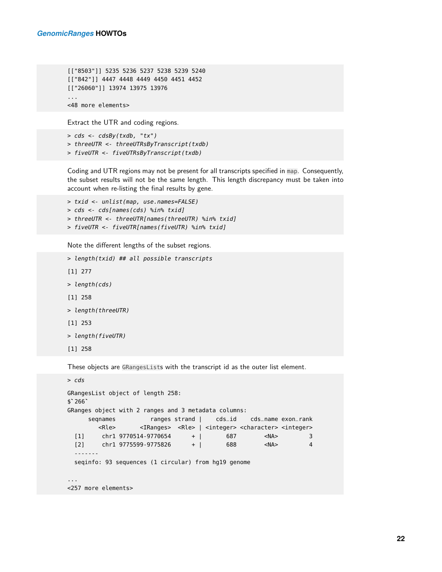```
[["8503"]] 5235 5236 5237 5238 5239 5240
[["842"]] 4447 4448 4449 4450 4451 4452
[["26060"]] 13974 13975 13976
...
<48 more elements>
```
Extract the UTR and coding regions.

```
> cds <- cdsBy(txdb, "tx")
> threeUTR <- threeUTRsByTranscript(txdb)
> fiveUTR <- fiveUTRsByTranscript(txdb)
```
Coding and UTR regions may not be present for all transcripts specified in map. Consequently, the subset results will not be the same length. This length discrepancy must be taken into account when re-listing the final results by gene.

```
> txid <- unlist(map, use.names=FALSE)
> cds <- cds[names(cds) %in% txid]
> threeUTR <- threeUTR[names(threeUTR) %in% txid]
> fiveUTR <- fiveUTR[names(fiveUTR) %in% txid]
```
Note the different lengths of the subset regions.

```
> length(txid) ## all possible transcripts
[1] 277
> length(cds)
[1] 258
> length(threeUTR)
[1] 253
> length(fiveUTR)
[1] 258
```
These objects are GRangesLists with the transcript id as the outer list element.

```
> cds
GRangesList object of length 258:
> cds<br>GRange<br>$`266`
GRanges object with 2 ranges and 3 metadata columns:
     seqnames ranges strand | cds_id cds_name exon_rank
       <Rle> <IRanges> <Rle> | <integer> <character> <integer>
 [1] chr1 9770514-9770654 + | 687 <NA> 3
 [2] chr1 9775599-9775826 + | 688 <NA> 4
  -------
 seqinfo: 93 sequences (1 circular) from hg19 genome
...
<257 more elements>
```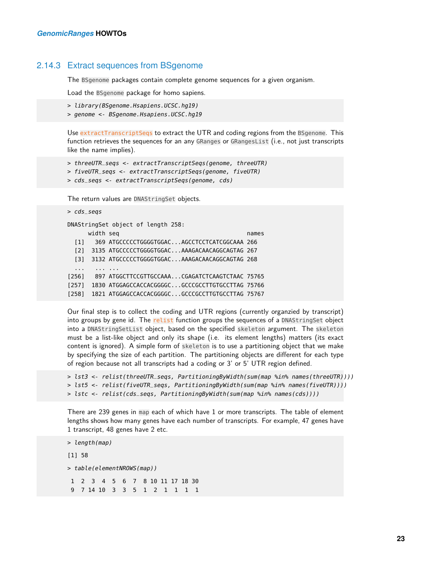#### 2.14.3 Extract sequences from BSgenome

The BSgenome packages contain complete genome sequences for a given organism.

Load the BSgenome package for homo sapiens.

> library(BSgenome.Hsapiens.UCSC.hg19)

```
> genome <- BSgenome.Hsapiens.UCSC.hg19
```
Use extractTranscriptSeqs to extract the UTR and coding regions from the BSgenome. This function retrieves the sequences for an any GRanges or GRangesList (i.e., not just transcripts like the name implies).

```
> threeUTR_seqs <- extractTranscriptSeqs(genome, threeUTR)
```

```
> fiveUTR_seqs <- extractTranscriptSeqs(genome, fiveUTR)
```

```
> cds_seqs <- extractTranscriptSeqs(genome, cds)
```
The return values are DNAStringSet objects.

```
> cds_seqs
DNAStringSet object of length 258:
        width seq names and the seq names of the sequence of the sequence of the sequence of the sequence of the sequence of the sequence of the sequence of the sequence of the sequence of the sequence of the sequence of the seque
   [1] 369 ATGCCCCCTGGGGTGGAC...AGCCTCCTCATCGGCAAA 266
   [2] 3135 ATGCCCCCTGGGGTGGAC...AAAGACAACAGGCAGTAG 267
   [3] 3132 ATGCCCCCTGGGGTGGAC...AAAGACAACAGGCAGTAG 268
   ... ... ...
[256] 897 ATGGCTTCCGTTGCCAAA...CGAGATCTCAAGTCTAAC 75765
[257] 1830 ATGGAGCCACCACGGGGC...GCCCGCCTTGTGCCTTAG 75766
[258] 1821 ATGGAGCCACCACGGGGC...GCCCGCCTTGTGCCTTAG 75767
```
Our final step is to collect the coding and UTR regions (currently organzied by transcript) into groups by gene id. The relist function groups the sequences of a DNAStringSet object into a DNAStringSetList object, based on the specified skeleton argument. The skeleton must be a list-like object and only its shape (i.e. its element lengths) matters (its exact content is ignored). A simple form of skeleton is to use a partitioning object that we make by specifying the size of each partition. The partitioning objects are different for each type of region because not all transcripts had a coding or 3' or 5' UTR region defined.

```
> lst3 <- relist(threeUTR_seqs, PartitioningByWidth(sum(map %in% names(threeUTR))))
> lst5 <- relist(fiveUTR_seqs, PartitioningByWidth(sum(map %in% names(fiveUTR))))
> lstc <- relist(cds_seqs, PartitioningByWidth(sum(map %in% names(cds))))
```
There are 239 genes in map each of which have 1 or more transcripts. The table of element lengths shows how many genes have each number of transcripts. For example, 47 genes have 1 transcript, 48 genes have 2 etc.

```
> length(map)
[1] 58
> table(elementNROWS(map))
1 2 3 4 5 6 7 8 10 11 17 18 30
9 7 14 10 3 3 5 1 2 1 1 1 1
```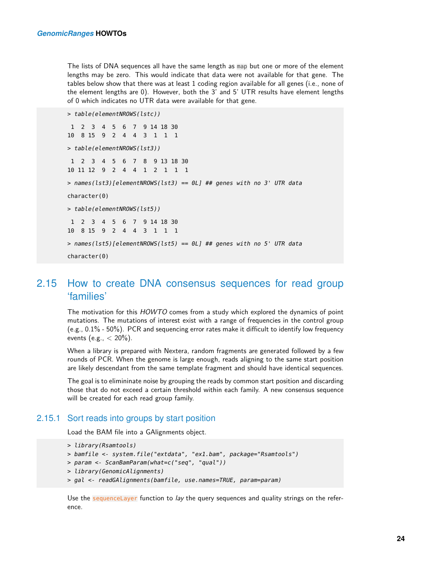The lists of DNA sequences all have the same length as map but one or more of the element lengths may be zero. This would indicate that data were not available for that gene. The tables below show that there was at least 1 coding region available for all genes (i.e., none of the element lengths are 0). However, both the 3' and 5' UTR results have element lengths of 0 which indicates no UTR data were available for that gene.

```
> table(elementNROWS(lstc))
1 2 3 4 5 6 7 9 14 18 30
10 8 15 9 2 4 4 3 1 1 1
> table(elementNROWS(lst3))
1 2 3 4 5 6 7 8 9 13 18 30
10 11 12 9 2 4 4 1 2 1 1 1
> names(lst3)[elementNROWS(lst3) == 0L] ## genes with no 3' UTR data
character(0)
> table(elementNROWS(lst5))
1 2 3 4 5 6 7 9 14 18 30
10 8 15 9 2 4 4 3 1 1 1
> names(lst5)[elementNROWS(lst5) == 0L] ## genes with no 5' UTR data
character(0)
```
#### <span id="page-23-0"></span>2.15 How to create DNA consensus sequences for read group 'families'

The motivation for this HOWTO comes from a study which explored the dynamics of point mutations. The mutations of interest exist with a range of frequencies in the control group (e.g., 0.1% - 50%). PCR and sequencing error rates make it difficult to identify low frequency events (e.g.,  $<$  20%).

When a library is prepared with Nextera, random fragments are generated followed by a few rounds of PCR. When the genome is large enough, reads aligning to the same start position are likely descendant from the same template fragment and should have identical sequences.

<span id="page-23-1"></span>The goal is to elimininate noise by grouping the reads by common start position and discarding those that do not exceed a certain threshold within each family. A new consensus sequence will be created for each read group family.

#### 2.15.1 Sort reads into groups by start position

Load the BAM file into a GAlignments object.

```
> library(Rsamtools)
```

```
> bamfile <- system.file("extdata", "ex1.bam", package="Rsamtools")
```

```
> param <- ScanBamParam(what=c("seq", "qual"))
```

```
> library(GenomicAlignments)
```

```
> gal <- readGAlignments(bamfile, use.names=TRUE, param=param)
```
Use the sequenceLayer function to lay the query sequences and quality strings on the reference.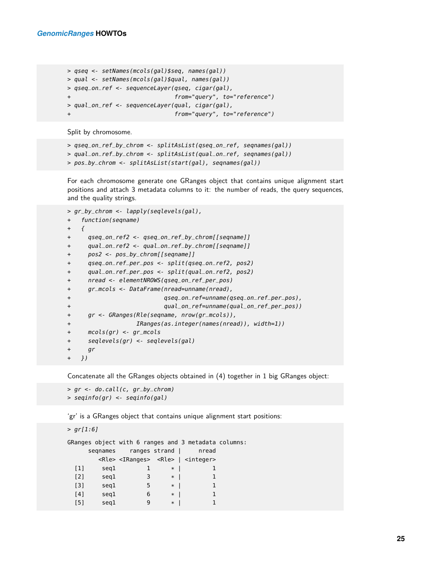```
> qseq <- setNames(mcols(gal)$seq, names(gal))
> qual <- setNames(mcols(gal)$qual, names(gal))
> qseq_on_ref <- sequenceLayer(qseq, cigar(gal),
+ from="query", to="reference")
> qual_on_ref <- sequenceLayer(qual, cigar(gal),
                            + from="query", to="reference")
```
Split by chromosome.

```
> qseq_on_ref_by_chrom <- splitAsList(qseq_on_ref, seqnames(gal))
> qual_on_ref_by_chrom <- splitAsList(qual_on_ref, seqnames(gal))
> pos_by_chrom <- splitAsList(start(gal), seqnames(gal))
```
For each chromosome generate one GRanges object that contains unique alignment start positions and attach 3 metadata columns to it: the number of reads, the query sequences, and the quality strings.

```
> gr_by_chrom <- lapply(seqlevels(gal),
+ function(seqname)
+ {
+ qseq_on_ref2 <- qseq_on_ref_by_chrom[[seqname]]
+ qual_on_ref2 <- qual_on_ref_by_chrom[[seqname]]
+ pos2 <- pos_by_chrom[[seqname]]
+ qseq_on_ref_per_pos <- split(qseq_on_ref2, pos2)
+ qual_on_ref_per_pos <- split(qual_on_ref2, pos2)
+ nread <- elementNROWS(qseq_on_ref_per_pos)
+ gr_mcols <- DataFrame(nread=unname(nread),
+ qseq_on_ref=unname(qseq_on_ref_per_pos),
+ qual_on_ref=unname(qual_on_ref_per_pos))
+ gr <- GRanges(Rle(seqname, nrow(gr_mcols)),
+ IRanges(as.integer(names(nread)), width=1))
+ mcols(gr) <- gr_mcols
+ seqlevels(gr) <- seqlevels(gal)
+ gr
+ })
```
Concatenate all the GRanges objects obtained in (4) together in 1 big GRanges object:

```
> gr <- do.call(c, gr_by_chrom)
> seqinfo(gr) <- seqinfo(gal)
```
'gr' is a GRanges object that contains unique alignment start positions:

```
> gr[1:6]GRanges object with 6 ranges and 3 metadata columns:
   seqnames ranges strand | nread
     <Rle> <IRanges> <Rle> | <integer>
 [1] seq1 1 * | 1
 [2] seq1 3 * | 1
 [3] seq1 5 * | 1
 [4] seq1 6 * | 1
 [5] seq1 9 * | 1
```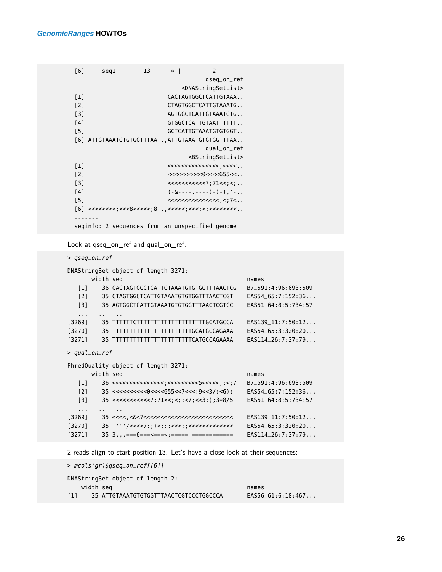| [6]               | seg1                                     | 13 | $*$ | 2                                               |  |  |  |  |  |
|-------------------|------------------------------------------|----|-----|-------------------------------------------------|--|--|--|--|--|
|                   |                                          |    |     | gseg_on_ref                                     |  |  |  |  |  |
|                   |                                          |    |     | <dnastringsetlist></dnastringsetlist>           |  |  |  |  |  |
| $\lceil 1 \rceil$ |                                          |    |     | CACTAGTGGCTCATTGTAAA                            |  |  |  |  |  |
| $[2]$             |                                          |    |     | CTAGTGGCTCATTGTAAATG                            |  |  |  |  |  |
| $\lceil 3 \rceil$ |                                          |    |     | AGTGGCTCATTGTAAATGTG                            |  |  |  |  |  |
| [4]               |                                          |    |     | GTGGCTCATTGTAATTTTTT                            |  |  |  |  |  |
| [5]               |                                          |    |     | GCTCATTGTAAATGTGTGGT                            |  |  |  |  |  |
| [6]               | ATTGTAAATGTGTGGTTTAAATTGTAAATGTGTGGTTTAA |    |     |                                                 |  |  |  |  |  |
|                   |                                          |    |     | qual_on_ref                                     |  |  |  |  |  |
|                   |                                          |    |     | <bstringsetlist></bstringsetlist>               |  |  |  |  |  |
| $\lceil 1 \rceil$ |                                          |    |     |                                                 |  |  |  |  |  |
| $\lceil 2 \rceil$ |                                          |    |     | $<<<<<<0<<<655<<.$ .                            |  |  |  |  |  |
| [3]               |                                          |    |     | <<<<<<<<7:71<<:<                                |  |  |  |  |  |
| [4]               |                                          |    |     |                                                 |  |  |  |  |  |
| [5]               |                                          |    |     | $<<<<<<<<<<<$ , < , 7<, ,                       |  |  |  |  |  |
|                   |                                          |    |     |                                                 |  |  |  |  |  |
|                   |                                          |    |     |                                                 |  |  |  |  |  |
|                   |                                          |    |     | seginfo: 2 sequences from an unspecified genome |  |  |  |  |  |

Look at qseq\_on\_ref and qual\_on\_ref.

> qseq\_on\_ref

|                   |     | DNAStringSet object of length 3271:                                  |                       |
|-------------------|-----|----------------------------------------------------------------------|-----------------------|
|                   |     | width seq                                                            | names                 |
| [1]               |     | 36 CACTAGTGGCTCATTGTAAATGTGTGGTTTAACTCG                              | B7 591:4:96:693:509   |
| [2]               |     | 35 CTAGTGGCTCATTGTAAATGTGTGGTTTAACTCGT                               | EAS5465:7:152:36      |
| $\lceil 3 \rceil$ |     | 35 AGTGGCTCATTGTAAATGTGTGGTTTAACTCGTCC                               | EAS51 64:8:5:734:57   |
| .                 |     |                                                                      |                       |
| [3269]            |     | 35 TTTTTTCTTTTTTTTTTTTTTTTTTTTTGCATGCCA                              | $EAS139_11:7:50:12$   |
| [3270]            | 35  | <b>TTTTTTTTTTTTTTTTTTTTTTTTGCATGCCAGAAA</b>                          | EAS54 65:3:320:20     |
| [3271]            | 35. | TTTTTTTTTTTTTTTTTTTTTTTTTCATGCCAGAAAA                                | EAS114 26:7:37:79     |
| > qual_on_ref     |     |                                                                      |                       |
|                   |     | PhredQuality object of length 3271:                                  |                       |
|                   |     | width seq                                                            | names                 |
| [1]               |     |                                                                      | B7 591:4:96:693:509   |
| $\sqrt{2}$        |     | $35 < << << << 0 << < 655 << 7 << .9 << 3 / : < 6$ ) :               | EAS5465:7:152:36      |
| 131               |     | $35$ <<<<<<<<<<<>:>;/>;/>71<<;;<;;<;<;};3*8/5                        | EAS51 64:8:5:734:57   |
| .                 |     |                                                                      |                       |
| [3269]            |     | $35 < c < c < c$ $c < c < c < c < c < c < c < c < c < c < c < c < c$ | $FAS139$ $11:7:50:12$ |
| [3270]            |     | $35$ +'''/<<<<7:;+<;::<<<<;;<<<<<<<<<<<<                             | $EAS54_65:3:320:20$   |
| [3271]            |     | $35\,3,$ ,,===6===<===<;==================                           | $EAS114_26:7:37:79$   |

2 reads align to start position 13. Let's have a close look at their sequences:

> mcols(gr)\$qseq\_on\_ref[[6]]

| DNAStringSet object of length 2: |  |  |  |  |  |
|----------------------------------|--|--|--|--|--|
|----------------------------------|--|--|--|--|--|

width seq names and the seq names of  $\sim$ 

[1] 35 ATTGTAAATGTGTGGTTTAACTCGTCCCTGGCCCA EAS56\_61:6:18:467...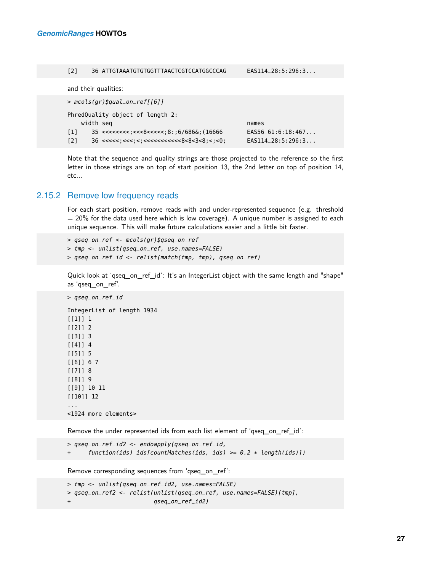#### [2] 36 ATTGTAAATGTGTGGTTTAACTCGTCCATGGCCCAG EAS114\_28:5:296:3...

and their qualities:

| PhredQuality object of length 2:             |  |  |  |  |  |  |  |
|----------------------------------------------|--|--|--|--|--|--|--|
|                                              |  |  |  |  |  |  |  |
|                                              |  |  |  |  |  |  |  |
|                                              |  |  |  |  |  |  |  |
| $EAS56_61:6:18:467$<br>$EAS114$ $28:5:296:3$ |  |  |  |  |  |  |  |

<span id="page-26-0"></span>Note that the sequence and quality strings are those projected to the reference so the first letter in those strings are on top of start position 13, the 2nd letter on top of position 14, etc...

#### 2.15.2 Remove low frequency reads

For each start position, remove reads with and under-represented sequence (e.g. threshold  $= 20\%$  for the data used here which is low coverage). A unique number is assigned to each unique sequence. This will make future calculations easier and a little bit faster.

> qseq\_on\_ref <- mcols(gr)\$qseq\_on\_ref

- > tmp <- unlist(qseq\_on\_ref, use.names=FALSE)
- > qseq\_on\_ref\_id <- relist(match(tmp, tmp), qseq\_on\_ref)

Quick look at 'qseq\_on\_ref\_id': It's an IntegerList object with the same length and "shape" as 'qseq\_on\_ref'.

```
> qseq_on_ref_id
IntegerList of length 1934
[[1]] 1
[[2]] 2
[[3]] 3
[[4]] 4
[[5]] 5
[[6]] 6 7
[[7]] 8
[[8]] 9
[[9]] 10 11
[[10]] 12
...
<1924 more elements>
```
Remove the under represented ids from each list element of 'qseq\_on\_ref\_id':

```
> qseq_on_ref_id2 <- endoapply(qseq_on_ref_id,
+ function(ids) ids[countMatches(ids, ids) >= 0.2 * length(ids)])
```
Remove corresponding sequences from 'qseq\_on\_ref':

```
> tmp <- unlist(qseq_on_ref_id2, use.names=FALSE)
> qseq_on_ref2 <- relist(unlist(qseq_on_ref, use.names=FALSE)[tmp],
+ qseq_on_ref_id2)
```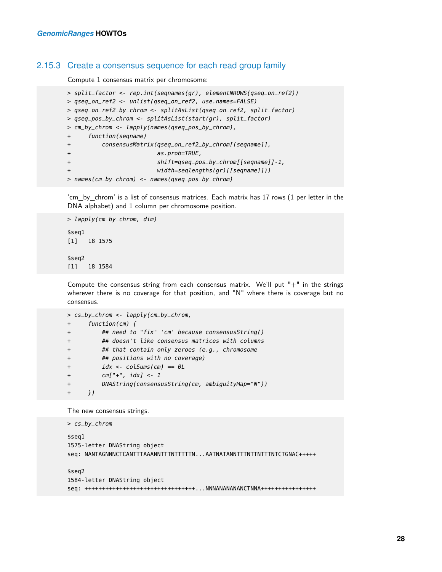#### 2.15.3 Create a consensus sequence for each read group family

Compute 1 consensus matrix per chromosome:

```
> split_factor <- rep.int(seqnames(gr), elementNROWS(qseq_on_ref2))
> qseq_on_ref2 <- unlist(qseq_on_ref2, use.names=FALSE)
> qseq_on_ref2_by_chrom <- splitAsList(qseq_on_ref2, split_factor)
> qseq_pos_by_chrom <- splitAsList(start(gr), split_factor)
> cm_by_chrom <- lapply(names(qseq_pos_by_chrom),
+ function(seqname)
+ consensusMatrix(qseq_on_ref2_by_chrom[[seqname]],
+ as.prob=TRUE,
+ shift=qseq_pos_by_chrom[[seqname]]-1,
                       width=seqlengths(gr)[[seqname]]))
> names(cm_by_chrom) <- names(qseq_pos_by_chrom)
```
'cm\_by\_chrom' is a list of consensus matrices. Each matrix has 17 rows (1 per letter in the DNA alphabet) and 1 column per chromosome position.

```
> lapply(cm_by_chrom, dim)
$seq1
[1] 18 1575
$seq2
[1] 18 1584
```
Compute the consensus string from each consensus matrix. We'll put "+" in the strings wherever there is no coverage for that position, and "N" where there is coverage but no consensus.

```
> cs_by_chrom <- lapply(cm_by_chrom,
+ function(cm) {
+ ## need to "fix" 'cm' because consensusString()
+ ## doesn't like consensus matrices with columns
+ ## that contain only zeroes (e.g., chromosome
+ ## positions with no coverage)
+ idx <- colSums(cm) == 0L
+ cm["+", idx] <- 1
+ DNAString(consensusString(cm, ambiguityMap="N"))
+ })
```
The new consensus strings.

```
> cs_by_chrom
$seq1
1575-letter DNAString object
seq: NANTAGNNNCTCANTTTAAANNTTTNTTTTTN...AATNATANNTTTNTTNTTTNTCTGNAC+++++
$seq2
1584-letter DNAString object
seq: ++++++++++++++++++++++++++++++++...NNNANANANANCTNNA++++++++++++++++
```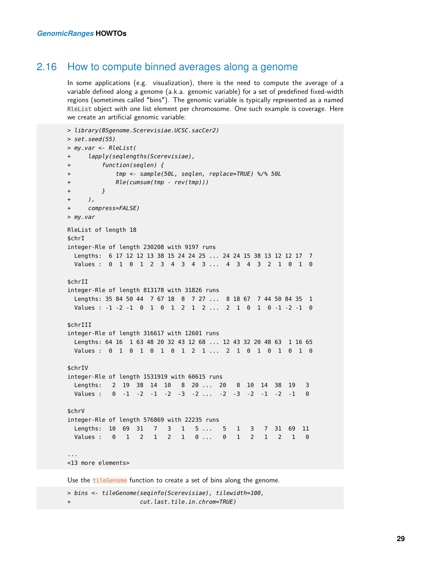#### 2.16 How to compute binned averages along a genome

In some applications (e.g. visualization), there is the need to compute the average of a variable defined along a genome (a.k.a. genomic variable) for a set of predefined fixed-width regions (sometimes called "bins"). The genomic variable is typically represented as a named RleList object with one list element per chromosome. One such example is coverage. Here we create an artificial genomic variable:

```
> library(BSgenome.Scerevisiae.UCSC.sacCer2)
> set.seed(55)
> my_var <- RleList(
+ lapply(seqlengths(Scerevisiae),
+ function(seqlen) {
+ tmp <- sample(50L, seqlen, replace=TRUE) %/% 50L
+ Rle(cumsum(tmp - rev(tmp)))
+ }
+ ),
+ compress=FALSE)
> my_var
RleList of length 18
$chrI
integer-Rle of length 230208 with 9197 runs
 Lengths: 6 17 12 12 13 38 15 24 24 25 ... 24 24 15 38 13 12 12 17 7
 Values : 0 1 0 1 2 3 4 3 4 3 ... 4 3 4 3 2 1 0 1 0
$chrII
integer-Rle of length 813178 with 31826 runs
 Lengths: 35 84 50 44 7 67 18 8 7 27 ... 8 18 67 7 44 50 84 35 1
 Values : -1 -2 -1 0 1 0 1 2 1 2 ... 2 1 0 1 0 -1 -2 -1 0
$chrIII
integer-Rle of length 316617 with 12601 runs
 Lengths: 64 16 1 63 48 20 32 43 12 68 ... 12 43 32 20 48 63 1 16 65
 Values : 0 1 0 1 0 1 0 1 2 1 ... 2 1 0 1 0 1 0 1 0
$chrIV
integer-Rle of length 1531919 with 60615 runs
 Lengths: 2 19 38 14 10 8 20 ... 20 8 10 14 38 19 3
 Values : 0 -1 -2 -1 -2 -3 -2 ... -2 -3 -2 -1 -2 -1 0
$chrV
integer-Rle of length 576869 with 22235 runs
 Lengths: 10 69 31 7 3 1 5 ... 5 1 3 7 31 69 11
 Values : 0 1 2 1 2 1 0 ... 0 1 2 1 2 1 0
...
<13 more elements>
```
Use the tileGenome function to create a set of bins along the genome.

> bins <- tileGenome(seqinfo(Scerevisiae), tilewidth=100, cut.last.tile.in.chrom=TRUE)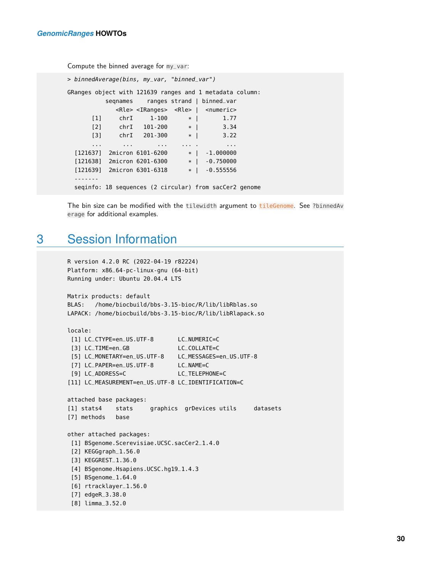Compute the binned average for my\_var:

```
> binnedAverage(bins, my_var, "binned_var")
GRanges object with 121639 ranges and 1 metadata column:
         segnames ranges strand | binned_var
           <Rle> <IRanges> <Rle> | <numeric>
      [1] chrI 1-100 * | 1.77
      [2] chrI 101-200 * | 3.34
     [3] chrI 201-300 * | 3.22
      ... ... ... ... . ...
 [121637] 2micron 6101-6200 * | -1.000000
 [121638] 2micron 6201-6300 * | -0.750000
 [121639] 2micron 6301-6318 * | -0.555556
  -------
 seqinfo: 18 sequences (2 circular) from sacCer2 genome
```
<span id="page-29-0"></span>The bin size can be modified with the tilewidth argument to tileGenome. See ?binnedAv erage for additional examples.

### 3 Session Information

```
R version 4.2.0 RC (2022-04-19 r82224)
Platform: x86_64-pc-linux-gnu (64-bit)
Running under: Ubuntu 20.04.4 LTS
Matrix products: default
BLAS: /home/biocbuild/bbs-3.15-bioc/R/lib/libRblas.so
LAPACK: /home/biocbuild/bbs-3.15-bioc/R/lib/libRlapack.so
locale:
 [1] LC_CTYPE=en_US.UTF-8 LC_NUMERIC=C
 [3] LC_TIME=en_GB LC_COLLATE=C
 [5] LC_MONETARY=en_US.UTF-8 LC_MESSAGES=en_US.UTF-8
 [7] LC_PAPER=en_US.UTF-8 LC_NAME=C
 [9] LC_ADDRESS=C LC_TELEPHONE=C
[11] LC_MEASUREMENT=en_US.UTF-8 LC_IDENTIFICATION=C
attached base packages:
[1] stats4 stats graphics grDevices utils datasets
[7] methods base
other attached packages:
 [1] BSgenome.Scerevisiae.UCSC.sacCer2_1.4.0
 [2] KEGGgraph_1.56.0
 [3] KEGGREST_1.36.0
 [4] BSgenome.Hsapiens.UCSC.hg19_1.4.3
 [5] BSgenome_1.64.0
 [6] rtracklayer_1.56.0
 [7] edgeR_3.38.0
 [8] limma_3.52.0
```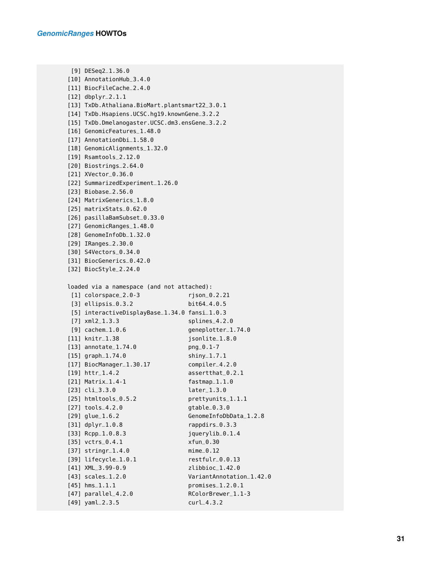```
[9] DESeq2_1.36.0
[10] AnnotationHub_3.4.0
[11] BiocFileCache_2.4.0
[12] dbplyr_2.1.1
[13] TxDb.Athaliana.BioMart.plantsmart22_3.0.1
[14] TxDb.Hsapiens.UCSC.hg19.knownGene_3.2.2
[15] TxDb.Dmelanogaster.UCSC.dm3.ensGene_3.2.2
[16] GenomicFeatures_1.48.0
[17] AnnotationDbi_1.58.0
[18] GenomicAlignments_1.32.0
[19] Rsamtools_2.12.0
[20] Biostrings_2.64.0
[21] XVector_0.36.0
[22] SummarizedExperiment_1.26.0
[23] Biobase_2.56.0
[24] MatrixGenerics_1.8.0
[25] matrixStats_0.62.0
[26] pasillaBamSubset_0.33.0
[27] GenomicRanges_1.48.0
[28] GenomeInfoDb_1.32.0
[29] IRanges_2.30.0
[30] S4Vectors_0.34.0
[31] BiocGenerics_0.42.0
[32] BiocStyle_2.24.0
loaded via a namespace (and not attached):
 [1] colorspace_2.0-3 rjson_0.2.21
 [3] ellipsis_0.3.2 bit64_4.0.5
 [5] interactiveDisplayBase_1.34.0 fansi_1.0.3
 [7] xml2_1.3.3 splines_4.2.0
 [9] cachem_1.0.6 geneplotter_1.74.0
[11] knitr_1.38 jsonlite_1.8.0
[13] annotate_1.74.0 png_0.1-7
[15] graph_1.74.0 shiny_1.7.1
[17] BiocManager_1.30.17 compiler_4.2.0
[19] httr_1.4.2 assertthat_0.2.1
[21] Matrix_1.4-1 fastmap_1.1.0
[23] cli_3.3.0 later_1.3.0
[25] htmltools_0.5.2 prettyunits_1.1.1
[27] tools_4.2.0 gtable_0.3.0
[29] glue_1.6.2 GenomeInfoDbData_1.2.8
[31] dplyr_1.0.8 rappdirs_0.3.3
[33] Rcpp_1.0.8.3 jquerylib_0.1.4
[35] vctrs_0.4.1 xfun_0.30
[37] stringr_1.4.0 mime_0.12
[39] lifecycle_1.0.1 restfulr_0.0.13
[41] XML_3.99-0.9 zlibbioc_1.42.0
[43] scales_1.2.0 VariantAnnotation_1.42.0
[45] hms_1.1.1 promises_1.2.0.1
[47] parallel_4.2.0 RColorBrewer_1.1-3
[49] yaml_2.3.5 curl_4.3.2
```